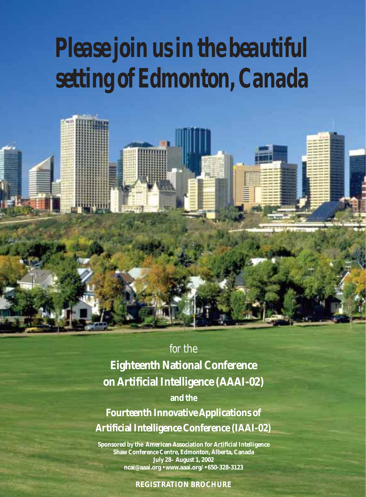# *Please join us in the beautiful setting of Edmonton, Canada*



**Eighteenth National Conference on Artificial Intelligence (AAAI-02)**

**and the**

**Fourteenth Innovative Applications of Artificial Intelligence Conference (IAAI-02)**

**Sponsored by the American Association for Artificial Intelligence Shaw Conference Centre, Edmonton, Alberta, Canada July 28– August 1, 2002 ncai@aaai.org • www.aaai.org/ • 650-328-3123**

#### **REGISTRATION BROCHURE**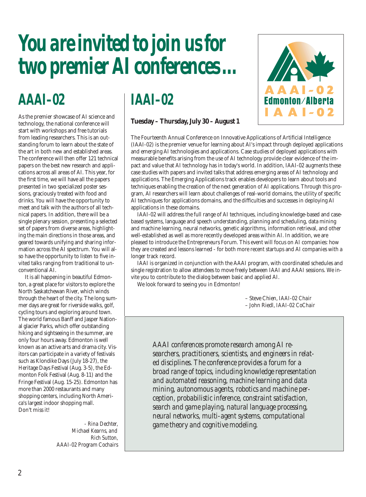## *You are invited to join us for two premier AI conferences …*

## *AAAI–02*

As the premier showcase of AI science and technology, the national conference will start with workshops and free tutorials from leading researchers. This is an outstanding forum to learn about the state of the art in both new and established areas. The conference will then offer 121 technical papers on the best new research and applications across all areas of AI. This year, for the first time, we will have all the papers presented in two specialized poster sessions, graciously treated with food and drinks. You will have the opportunity to meet and talk with the authors of all technical papers. In addition, there will be a single plenary session, presenting a selected set of papers from diverse areas, highlighting the main directions in those areas, and geared towards unifying and sharing information across the AI spectrum. You will also have the opportunity to listen to five invited talks ranging from traditional to unconventional AI.

It is all happening in beautiful Edmonton, a great place for visitors to explore the North Saskatchewan River, which winds through the heart of the city. The long summer days are great for riverside walks, golf, cycling tours and exploring around town. The world famous Banff and Jasper National glacier Parks, which offer outstanding hiking and sightseeing in the summer, are only four hours away. Edmonton is well known as an active arts and drama city. Visitors can participate in a variety of festivals such as Klondike Days (July 18-27), the Heritage Days Festival (Aug. 3-5), the Edmonton Folk Festival (Aug. 8-11) and the Fringe Festival (Aug. 15-25). Edmonton has more than 2000 restaurants and many shopping centers, including North America's largest indoor shopping mall. Don't miss it!

> *- Rina Dechter, Michael Kearns, and Rich Sutton, AAAI-02 Program Cochairs*

## *IAAI–02*

#### **Tuesday – Thursday, July 30 – August 1**



The Fourteenth Annual Conference on Innovative Applications of Artificial Intelligence (IAAI-02) is the premier venue for learning about AI's impact through deployed applications and emerging AI technologies and applications. Case studies of deployed applications with measurable benefits arising from the use of AI technology provide clear evidence of the impact and value that AI technology has in today's world. In addition, IAAI-02 augments these case studies with papers and invited talks that address emerging areas of AI technology and applications. The Emerging Applications track enables developers to learn about tools and techniques enabling the creation of the next generation of AI applications. Through this program, AI researchers will learn about challenges of real-world domains, the utility of specific AI techniques for applications domains, and the difficulties and successes in deploying AI applications in these domains.

IAAI-02 will address the full range of AI techniques, including knowledge-based and casebased systems, language and speech understanding, planning and scheduling, data mining and machine learning, neural networks, genetic algorithms, information retrieval, and other well-established as well as more recently developed areas within AI. In addition, we are pleased to introduce the Entrepreneurs Forum. This event will focus on AI companies: how they are created and lessons learned - for both more recent startups and AI companies with a longer track record.

IAAI is organized in conjunction with the AAAI program, with coordinated schedules and single registration to allow attendees to move freely between IAAI and AAAI sessions. We invite you to contribute to the dialog between basic and applied AI.

We look forward to seeing you in Edmonton!

– Steve Chien, *IAAI-02 Chair* – John Riedl, *IAAI-02 CoChair*

*AAAI conferences promote research among AI researchers, practitioners, scientists, and engineers in related disciplines. The conference provides a forum for a broad range of topics, including knowledge representation and automated reasoning, machine learning and data mining, autonomous agents, robotics and machine perception, probabilistic inference, constraint satisfaction, search and game playing, natural language processing, neural networks, multi-agent systems, computational game theory and cognitive modeling.*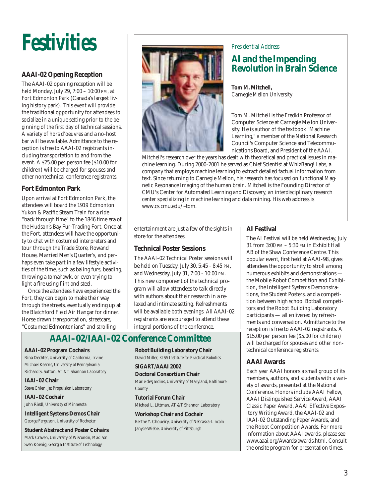

#### **AAAI-02 Opening Reception**

The AAAI-02 opening reception will be held Monday, July 29, 7:00 – 10:00 PM, at Fort Edmonton Park (Canada's largest living history park). This event will provide the traditional opportunity for attendees to socialize in a unique setting prior to the beginning of the first day of technical sessions. A variety of hors d'oeuvres and a no-host bar will be available. Admittance to the reception is free to AAAI-02 registrants including transportation to and from the event. A \$25.00 per person fee (\$10.00 for children) will be charged for spouses and other nontechnical conference registrants.

#### **Fort Edmonton Park**

Upon arrival at Fort Edmonton Park, the attendees will board the 1919 Edmonton Yukon & Pacific Steam Train for a ride "back through time" to the 1846 time era of the Hudson's Bay Fur-Trading Fort. Once at the Fort, attendees will have the opportunity to chat with costumed interpreters and tour through the Trade Store, Rowand House, Married Men's Quarter's, and perhaps even take part in a few lifestyle activities of the time, such as baling furs, beading, throwing a tomahawk, or even trying to light a fire using flint and steel.

Once the attendees have experienced the Fort, they can begin to make their way through the streets, eventually ending up at the Blatchford Field Air Hangar for dinner. Horse drawn transportation, streetcars, "Costumed Edmontonians" and strolling



#### *Presidential Address*

### **AI and the Impending Revolution in Brain Science**

**Tom M. Mitchell,**  *Carnegie Mellon University*

Tom M. Mitchell is the Fredkin Professor of Computer Science at Carnegie Mellon University. He is author of the textbook "Machine Learning," a member of the National Research Council's Computer Science and Telecommunications Board, and President of the AAAI.

Mitchell's research over the years has dealt with theoretical and practical issues in machine learning. During 2000-2001 he served as Chief Scientist at WhizBang! Labs, a company that employs machine learning to extract detailed factual information from text. Since returning to Carnegie Mellon, his research has focused on functional Magnetic Resonance Imaging of the human brain. Mitchell is the Founding Director of CMU's Center for Automated Learning and Discovery, an interdisciplinary research center specializing in machine learning and data mining. His web address is www.cs.cmu.edu/~tom.

entertainment are just a few of the sights in store for the attendees.

#### **Technical Poster Sessions**

The AAAI-02 Technical Poster sessions will be held on Tuesday, July 30, 5:45 - 8:45 PM, and Wednesday, July 31, 7:00 - 10:00 PM. This new component of the technical program will allow attendees to talk directly with authors about their research in a relaxed and intimate setting. Refreshments will be available both evenings. All AAAI-02 registrants are encouraged to attend these integral portions of the conference.

### **AAAI–02/IAAI–02 Conference Committee**

#### **AAAI–02 Program Cochairs**

Rina Dechter, *University of California, Irvine* Michael Kearns, *University of Pennsylvania* Richard S. Sutton, *AT &T Shannon Laboratory*

#### **IAAI–02 Chair**

Steve Chien, *Jet Propulsion Laboratory*

**IAAI–02 Cochair** John Riedl, *University of Minnesota*

**Intelligent Systems Demos Chair** George Ferguson, *University of Rochester*

**Student Abstract and Poster Cohairs** Mark Craven, *University of Wisconsin, Madison* Sven Koenig, *Georgia Institute of Technology*

### **Robot Building Laboratory Chair**

David Miller, *KISS Institute for Practical Robotics*

#### **SIGART/AAAI 2002**

**Doctoral Consortium Chair** Marie desJardins, *University of Maryland, Baltimore County*

**Tutorial Forum Chair** Michael L. Littman, *AT &T Shannon Laboratory*

**Workshop Chair and Cochair** Berthe Y. Choueiry, *University of Nebraska-Lincoln* Janyce Wiebe, *University of Pittsburgh*

#### **AI Festival**

The AI Festival will be held Wednesday, July 31 from 3:00 PM – 5:30 PM in Exhibit Hall AB of the Shaw Conference Centre. This popular event, first held at AAAI-98, gives attendees the opportunity to stroll among numerous exhibits and demonstrations the Mobile Robot Competition and Exhibition, the Intelligent Systems Demonstrations, the Student Posters, and a competition between high school Botball competitors and the Robot Building Laboratory participants — all enlivened by refreshments and conversation. Admittance to the reception is free to AAAI-02 registrants. A \$15.00 per person fee (\$5.00 for children) will be charged for spouses and other nontechnical conference registrants.

#### **AAAI Awards**

Each year AAAI honors a small group of its members, authors, and students with a variety of awards, presented at the National Conference. Honors include AAAI Fellow, AAAI Distinguished Service Award, AAAI Classic Paper Award, AAAI Effective Expository Writing Award, the AAAI-02 and IAAI-02 Outstanding Paper Awards, and the Robot Competition Awards. For more information about AAAI awards, please see www.aaai.org/Awards/awards.html. Consult the onsite program for presentation times.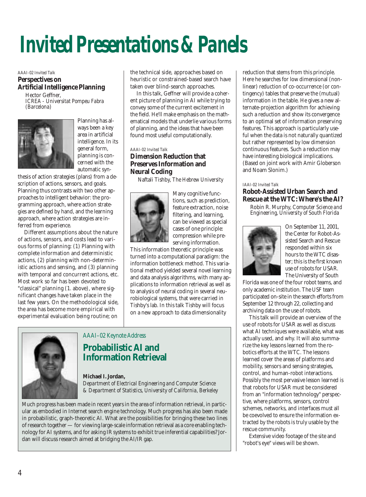## *Invited Presentations & Panels*

#### *AAAI-02 Invited Talk* **Perspectives on Artificial Intelligence Planning**

Hector Geffner, *ICREA - Universitat Pompeu Fabra (Barcelona)*



ways been a key area in artificial intelligence. In its general form, planning is concerned with the automatic syn-

Planning has al-

thesis of action strategies (plans) from a description of actions, sensors, and goals. Planning thus contrasts with two other approaches to intelligent behavior: the programming approach, where action strategies are defined by hand, and the learning approach, where action strategies are inferred from experience.

Different assumptions about the nature of actions, sensors, and costs lead to various forms of planning: (1) Planning with complete information and deterministic actions, (2) planning with non-deterministic actions and sensing, and (3) planning with temporal and concurrent actions, etc. Most work so far has been devoted to "classical" planning (1. above), where significant changes have taken place in the last few years. On the methodological side, the area has become more empirical with experimental evaluation being routine; on

the technical side, approaches based on heuristic or constrained-based search have taken over blind-search approaches.

In this talk, Geffner will provide a coherent picture of planning in AI while trying to convey some of the current excitement in the field. He'll make emphasis on the mathematical models that underlie various forms of planning, and the ideas that have been found most useful computationally.

#### *AAAI-02 Invited Talk*

#### **Dimension Reduction that Preserves Information and Neural Coding**

Naftali Tishby, *The Hebrew University*



Many cognitive functions, such as prediction, feature extraction, noise filtering, and learning, can be viewed as special cases of one principle: compression while preserving information.

This information theoretic principle was turned into a computational paradigm: the information bottleneck method. This variational method yielded several novel learning and data analysis algorithms, with many applications to information retrieval as well as to analysis of neural coding in several neurobiological systems, that were carried in Tishby's lab. In this talk Tishby will focus on a new approach to data dimensionality

### *AAAI–02 Keynote Address*

### **Probabilistic AI and Information Retrieval**

#### **Michael I. Jordan,**

*Department of Electrical Engineering and Computer Science & Department of Statistics, University of California, Berkeley*

Much progress has been made in recent years in the area of information retrieval, in particular as embodied in Internet search engine technology. Much progress has also been made in probabilistic, graph-theoretic AI. What are the possibilities for bringing these two lines of research together — for viewing large-scale information retrieval as a core enabling technology for AI systems, and for asking IR systems to exhibit true inferential capabilities? Jordan will discuss research aimed at bridging the AI/IR gap.

reduction that stems from this principle. Here he searches for low dimensional (nonlinear) reduction of co-occurrence (or contingency) tables that preserve the (mutual) information in the table. He gives a new alternate-projection algorithm for achieving such a reduction and show its convergence to an optimal set of information preserving features. This approach is particularly useful when the data is not naturally quantized but rather represented by low dimension continuous features. Such a reduction may have interesting biological implications. (Based on joint work with Amir Globerson and Noam Slonim.)

#### *IAAI-02 Invited Talk*

#### **Robot-Assisted Urban Search and Rescue at the WTC: Where's the AI?**

Robin R. Murphy, *Computer Science and Engineering, University of South Florida*



On September 11, 2001, the Center for Robot-Assisted Search and Rescue responded within six hours to the WTC disaster; this is the first known use of robots for USAR. The University of South

Florida was one of the four robot teams, and only academic institution. The USF team participated on-site in the search efforts from September 12 through 22, collecting and archiving data on the use of robots.

This talk will provide an overview of the use of robots for USAR as well as discuss what AI techniques were available, what was actually used, and why. It will also summarize the key lessons learned from the robotics efforts at the WTC. The lessons learned cover the areas of platforms and mobility, sensors and sensing strategies, control, and human-robot interactions. Possibly the most pervasive lesson learned is that robots for USAR must be considered from an "information technology" perspective, where platforms, sensors, control schemes, networks, and interfaces must all be coevolved to ensure the information extracted by the robots is truly usable by the rescue community.

Extensive video footage of the site and "robot's eye" views will be shown.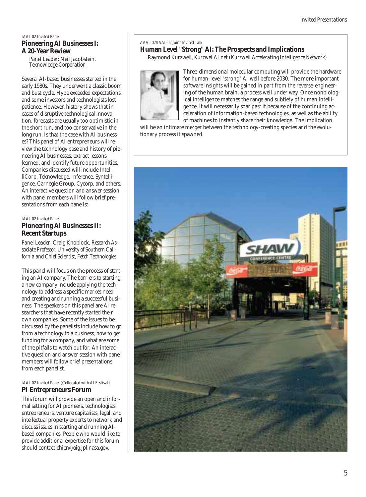#### *IAAI-02 Invited Panel* **Pioneering AI Businesses I: A 20-Year Review**

*Panel Leader:* Neil Jacobstein, *Teknowledge Corporation* 

Several AI-based businesses started in the early 1980s. They underwent a classic boom and bust cycle. Hype exceeded expectations, and some investors and technologists lost patience. However, history shows that in cases of disruptive technological innovation, forecasts are usually too optimistic in the short run, and too conservative in the long run. Is that the case with AI businesses? This panel of AI entrepreneurs will review the technology base and history of pioneering AI businesses, extract lessons learned, and identify future opportunities. Companies discussed will include IntelliCorp, Teknowledge, Inference, Syntelligence, Carnegie Group, Cycorp, and others. An interactive question and answer session with panel members will follow brief presentations from each panelist.

#### *IAAI-02 Invited Panel* **Pioneering AI Businesses II: Recent Startups**

*Panel Leader:* Craig Knoblock, *Research Associate Professor, University of Southern California and Chief Scientist, Fetch Technologies*

This panel will focus on the process of starting an AI company. The barriers to starting a new company include applying the technology to address a specific market need and creating and running a successful business. The speakers on this panel are AI researchers that have recently started their own companies. Some of the issues to be discussed by the panelists include how to go from a technology to a business, how to get funding for a company, and what are some of the pitfalls to watch out for. An interactive question and answer session with panel members will follow brief presentations from each panelist.

#### *IAAI-02 Invited Panel (Collocated with AI Festival)* **PI Entrepreneurs Forum**

This forum will provide an open and informal setting for AI pioneers, technologists, entrepreneurs, venture capitalists, legal, and intellectual property experts to network and discuss issues in starting and running AIbased companies. People who would like to provide additional expertise for this forum should contact chien@aig.jpl.nasa.gov.

#### *AAAI-02/IAAI-02 Joint Invited Talk*

### **Human Level "Strong" AI: The Prospects and Implications**

Raymond Kurzweil, *KurzweilAI.net (Kurzweil Accelerating Intelligence Network)*



Three-dimensional molecular computing will provide the hardware for human-level "strong" AI well before 2030. The more important software insights will be gained in part from the reverse-engineering of the human brain, a process well under way. Once nonbiological intelligence matches the range and subtlety of human intelligence, it will necessarily soar past it because of the continuing acceleration of information-based technologies, as well as the ability of machines to instantly share their knowledge. The implication

will be an intimate merger between the technology-creating species and the evolutionary process it spawned.

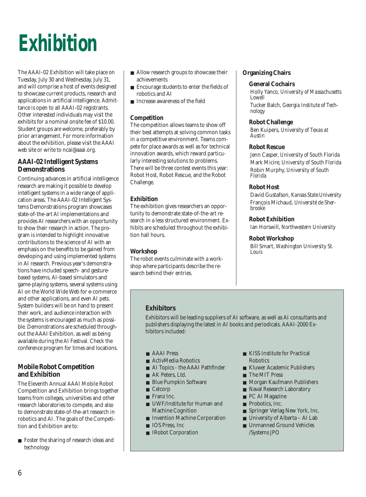

The AAAI-02 Exhibition will take place on Tuesday, July 30 and Wednesday, July 31, and will comprise a host of events designed to showcase current products, research and applications in artificial intelligence. Admittance is open to all AAAI-02 registrants. Other interested individuals may visit the exhibits for a nominal onsite fee of \$10.00. Student groups are welcome, preferably by prior arrangement. For more information about the exhibition, please visit the AAAI web site or write to ncai@aaai.org.

#### **AAAI-02 Intelligent Systems Demonstrations**

Continuing advances in artificial intelligence research are making it possible to develop intelligent systems in a wide range of application areas. The AAAI-02 Intelligent Systems Demonstrations program showcases state-of-the-art AI implementations and provides AI researchers with an opportunity to show their research in action. The program is intended to highlight innovative contributions to the science of AI with an emphasis on the benefits to be gained from developing and using implemented systems in AI research. Previous year's demonstrations have included speech- and gesturebased systems, AI-based simulators and game-playing systems, several systems using AI on the World Wide Web for e-commerce and other applications, and even AI pets. System builders will be on hand to present their work, and audience interaction with the systems is encouraged as much as possible. Demonstrations are scheduled throughout the AAAI Exhibition, as well as being available during the AI Festival. Check the conference program for times and locations.

#### **Mobile Robot Competition and Exhibition**

The Eleventh Annual AAAI Mobile Robot Competition and Exhibition brings together teams from colleges, universities and other research laboratories to compete, and also to demonstrate state-of-the-art research in robotics and AI. The goals of the Competition and Exhibition are to:

■ Foster the sharing of research ideas and technology

- Allow research groups to showcase their achievements
- Encourage students to enter the fields of robotics and AI
- Increase awareness of the field

#### **Competition**

The competition allows teams to show off their best attempts at solving common tasks in a competitive environment. Teams compete for place awards as well as for technical innovation awards, which reward particularly interesting solutions to problems. There will be three contest events this year: Robot Host, Robot Rescue, and the Robot Challenge.

#### **Exhibition**

The exhibition gives researchers an opportunity to demonstrate state-of-the-art research in a less structured environment. Exhibits are scheduled throughout the exhibition hall hours.

#### **Workshop**

The robot events culminate with a workshop where participants describe the research behind their entries.

#### **Organizing Chairs**

#### **General Cochairs**

Holly Yanco, *University of Massachusetts Lowell* Tucker Balch, *Georgia Institute of Technology*

#### **Robot Challenge**

Ben Kuipers, *University of Texas at Austin*

#### **Robot Rescue**

Jenn Casper, *University of South Florida* Mark Micire, *University of South Florida* Robin Murphy, *University of South Florida*

#### **Robot Host**

David Gustafson, *Kansas State University* François Michaud, *Université de Sherbrooke*

#### **Robot Exhibition**

Ian Horswill, *Northwestern University*

#### **Robot Workshop**

Bill Smart, *Washington University St. Louis*

#### **Exhibitors**

Exhibitors will be leading suppliers of AI software, as well as AI consultants and publishers displaying the latest in AI books and periodicals. AAAI-2000 Exhibitors included:

- AAAI Press
- ActivMedia Robotics
- AI Topics the AAAI Pathfinder
- AK Peters, Ltd.
- Blue Pumpkin Software
- Celcorp
- Franz Inc.
- UWF/Institute for Human and Machine Cognition
- Invention Machine Corporation
- IOS Press, Inc.
- IRobot Corporation
- KISS Institute for Practical Robotics
- Kluwer Academic Publishers
- The MIT Press
- Morgan Kaufmann Publishers
- Naval Research Laboratory
- PC AI Magazine
- Probotics, Inc.
- Springer Verlag New York, Inc.
- University of Alberta AI Lab
- Unmanned Ground Vehicles /Systems JPO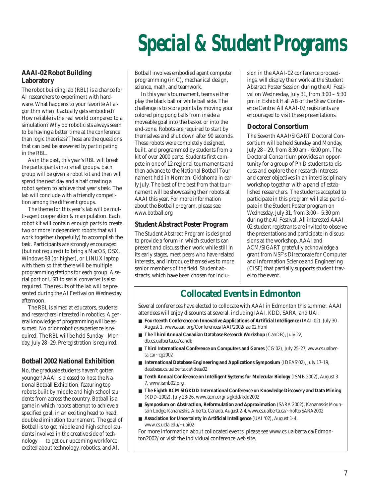# *Special & Student Programs*

#### **AAAI-02 Robot Building Laboratory**

The robot building lab (RBL) is a chance for AI researchers to experiment with hardware. What happens to your favorite AI algorithm when it actually gets embodied? How reliable is the real world compared to a simulation? Why do roboticists always seem to be having a better time at the conference than logic theorists? These are the questions that can best be answered by participating in the RBL.

As in the past, this year's RBL will break the participants into small groups. Each group will be given a robot kit and then will spend the next day and a half creating a robot system to achieve that year's task. The lab will conclude with a friendly competition among the different groups.

The theme for this year's lab will be multi-agent cooperation & manipulation. Each robot kit will contain enough parts to create two or more independent robots that will work together (hopefully) to accomplish the task. Participants are strongly encouraged (but not required) to bring a MacOS, OSX, Windows 98 (or higher), or LINUX laptop with them so that there will be multiple programming stations for each group. A serial port or USB to serial converter is also required. The results of the lab will be presented during the AI Festival on Wednesday afternoon.

The RBL is aimed at educators, students and researchers interested in robotics. A general knowledge of programming will be assumed. No prior robotics experience is required. The RBL will be held Sunday - Monday, July 28 -29. Preregistration is required.

#### **Botball 2002 National Exhibition**

No, the graduate students haven't gotten younger! AAAI is pleased to host the National Botball Exhibition, featuring top robots built by middle and high school students from across the country. Botball is a game in which robots attempt to achieve a specified goal, in an exciting head to head, double elimination tournament. The goal of Botball is to get middle and high school students involved in the creative side of technology — to get our upcoming workforce excited about technology, robotics, and AI.

Botball involves embodied agent computer programming (in C), mechanical design, science, math, and teamwork.

In this year's tournament, teams either play the black ball or white ball side. The challenge is to score points by moving your colored ping pong balls from inside a moveable goal into the basket or into the end-zone. Robots are required to start by themselves and shut down after 90 seconds. These robots were completely designed, built, and programmed by students from a kit of over 2000 parts. Students first compete in one of 12 regional tournaments and then advance to the National Botball Tournament held in Norman, Oklahoma in early July. The best of the best from that tournament will be showcasing their robots at AAAI this year. For more information about the Botball program, please see: www.botball.org

#### **Student Abstract Poster Program**

The Student Abstract Program is designed to provide a forum in which students can present and discuss their work while still in its early stages, meet peers who have related interests, and introduce themselves to more senior members of the field. Student abstracts, which have been chosen for inclusion in the AAAI-02 conference proceedings, will display their work at the Student Abstract Poster Session during the AI Festival on Wednesday, July 31, from 3:00 – 5:30 pm in Exhibit Hall AB of the Shaw Conference Centre. All AAAI-02 registrants are encouraged to visit these presentations.

#### **Doctoral Consortium**

The Seventh AAAI/SIGART Doctoral Consortium will be held Sunday and Monday, July 28 - 29, from 8:30 am - 6:00 pm. The Doctoral Consortium provides an opportunity for a group of Ph.D students to discuss and explore their research interests and career objectives in an interdisciplinary workshop together with a panel of established researchers. The students accepted to participate in this program will also participate in the Student Poster program on Wednesday, July 31, from 3:00 – 5:30 pm during the AI Festival. All interested AAAI-02 student registrants are invited to observe the presentations and participate in discussions at the workshop. AAAI and ACM/SIGART gratefully acknowledge a grant from NSF's Directorate for Computer and Information Science and Engineering (CISE) that partially supports student travel to the event.

### **Collocated Events in Edmonton**

Several conferences have elected to collocate with AAAI in Edmonton this summer. AAAI attendees will enjoy discounts at several, including IAAI, KDD, SARA, and UAI:

- **Fourteenth Conference on Innovative Applications of Artificial Intelligence** (IAAI-02), July 30 -August 1, www.aaai. org/Conferences/IAAI/2002/iaai02.html
- **The Third Annual Canadian Database Research Workshop** (CanDB), July 22, db.cs.ualberta.ca/candb
- **Third International Conference on Computers and Games** (CG'02), July 25-27, www.cs.ualberta.ca/~cg2002
- **International Database Engineering and Applications Symposium** (IDEAS'02), July 17-19, database.cs.ualberta.ca/ideas02
- **Tenth Annual Conference on Intelligent Systems for Molecular Biology** (ISMB 2002), August 3-7, www.ismb02.org
- **The Eighth ACM SIGKDD International Conference on Knowledge Discovery and Data Mining** (KDD-2002), July 23-26, www.acm.org/ sigkdd/kdd2002
- **Symposium on Abstraction, Reformulation and Approximation** (SARA 2002), Kananaskis Mountain Lodge, Kananaskis, Alberta, Canada, August 2-4, www.cs.ualberta.ca/~holte/SARA2002
- **Association for Uncertainty in Artificial Intelligence** (UAI '02), August 1-4, www.cs.ucla.edu/~uai02

For more information about collocated events, please see www.cs.ualberta.ca/Edmonton2002/ or visit the individual conference web site.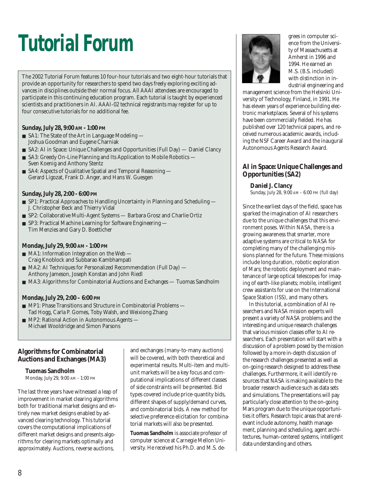# *Tutorial Forum*

The 2002 Tutorial Forum features 10 four-hour tutorials and two eight-hour tutorials that provide an opportunity for researchers to spend two days freely exploring exciting advances in disciplines outside their normal focus. All AAAI attendees are encouraged to participate in this continuing education program. Each tutorial is taught by experienced scientists and practitioners in AI. AAAI-02 technical registrants may register for up to four consecutive tutorials for no additional fee.

#### **Sunday, July 28, 9:00 AM - 1:00 PM**

- SA1: The State of the Art in Language Modeling Joshua Goodman and Eugene Charniak
- SA2: AI in Space: Unique Challenges and Opportunities (Full Day) Daniel Clancy
- SA3: Greedy On-Line Planning and Its Application to Mobile Robotics Sven Koenig and Anthony Stentz
- SA4: Aspects of Qualitative Spatial and Temporal Reasoning Gerard Ligozat, Frank D. Anger, and Hans W. Guesgen

#### **Sunday, July 28, 2:00 - 6:00 PM**

- SP1: Practical Approaches to Handling Uncertainty in Planning and Scheduling J. Christopher Beck and Thierry Vidal
- SP2: Collaborative Multi-Agent Systems Barbara Grosz and Charlie Ortiz
- SP3: Practical Machine Learning for Software Engineering Tim Menzies and Gary D. Boetticher

#### **Monday, July 29, 9:00 AM - 1:00 PM**

- MA1: Information Integration on the Web Craig Knoblock and Subbarao Kambhampati
- MA2: AI Techniques for Personalized Recommendation (Full Day) Anthony Jameson, Joseph Konstan and John Riedl
- MA3: Algorithms for Combinatorial Auctions and Exchanges Tuomas Sandholm

#### **Monday, July 29, 2:00 – 6:00 PM**

- MP1: Phase Transitions and Structure in Combinatorial Problems Tad Hogg, Carla P. Gomes, Toby Walsh, and Weixiong Zhang
- MP2: Rational Action in Autonomous Agents Michael Wooldridge and Simon Parsons

#### **Algorithms for Combinatorial Auctions and Exchanges (MA3)**

#### **Tuomas Sandholm**

Monday, July 29, 9:00 AM - 1:00 PM

The last three years have witnessed a leap of improvement in market clearing algorithms both for traditional market designs and entirely new market designs enabled by advanced clearing technology. This tutorial covers the computational implications of different market designs and presents algorithms for clearing markets optimally and approximately. Auctions, reverse auctions,

and exchanges (many-to-many auctions) will be covered, with both theoretical and experimental results. Multi-item and multiunit markets will be a key focus and computational implications of different classes of side constraints will be presented. Bid types covered include price-quantity bids, different shapes of supply/demand curves, and combinatorial bids. A new method for selective preference elicitation for combinatorial markets will also be presented.

**Tuomas Sandholm** is associate professor of computer science at Carnegie Mellon University. He received his Ph.D. and M.S. de-



grees in computer science from the University of Massachusetts at Amherst in 1996 and 1994. He earned an M.S. (B.S. included) with distinction in industrial engineering and

management science from the Helsinki University of Technology, Finland, in 1991. He has eleven years of experience building electronic marketplaces. Several of his systems have been commercially fielded. He has published over 120 technical papers, and received numerous academic awards, including the NSF Career Award and the inaugural Autonomous Agents Research Award.

#### **AI in Space: Unique Challenges and Opportunities (SA2)**

#### **Daniel J. Clancy**

Sunday, July 28, 9:00 AM - 6:00 PM (full day)

Since the earliest days of the field, space has sparked the imagination of AI researchers due to the unique challenges that this environment poses. Within NASA, there is a growing awareness that smarter, more adaptive systems are critical to NASA for completing many of the challenging missions planned for the future. These missions include long duration, robotic exploration of Mars; the robotic deployment and maintenance of large optical telescopes for imaging of earth-like planets; mobile, intelligent crew assistants for use on the International Space Station (ISS), and many others.

In this tutorial, a combination of AI researchers and NASA mission experts will present a variety of NASA problems and the interesting and unique research challenges that various mission classes offer to AI researchers. Each presentation will start with a discussion of a problem posed by the mission followed by a more in-depth discussion of the research challenges presented as well as on-going research designed to address these challenges. Furthermore, it will identify resources that NASA is making available to the broader research audience such as data sets and simulations. The presentations will pay particularly close attention to the on-going Mars program due to the unique opportunities it offers. Research topic areas that are relevant include autonomy, health management, planning and scheduling, agent architectures, human-centered systems, intelligent data understanding and others.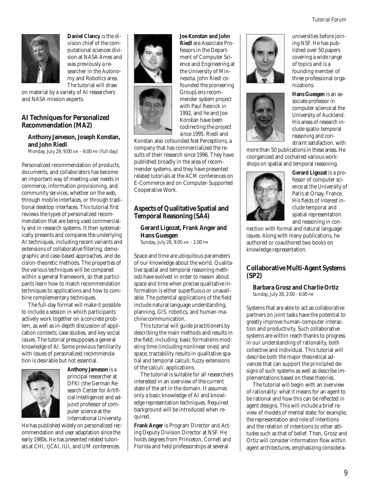

**Daniel Clancy** is the division chief of the computational sciences division at NASA Ames and was previously a researcher in the Autonomy and Robotics area. The tutorial will draw

on material by a variety of AI researchers and NASA mission experts.

#### **AI Techniques for Personalized Recommendation (MA2)**

#### **Anthony Jameson, Joseph Konstan, and John Riedl**

Monday, July 29, 9:00 AM - 6:00 PM (full day)

Personalized recommendation of products, documents, and collaborators has become an important way of meeting user needs in commerce, information provisioning, and community services, whether on the web, through mobile interfaces, or through traditional desktop interfaces. This tutorial first reviews the types of personalized recommendation that are being used commercially and in research systems. It then systematically presents and compares the underlying AI techniques, including recent variants and extensions of collaborative filtering, demographic and case-based approaches, and decision-theoretic methods. The properties of the various techniques will be compared within a general framework, so that participants learn how to match recommendation techniques to applications and how to combine complementary techniques.

The full-day format will make it possible to include a session in which participants actively work together on a concrete problem, as well as in-depth discussion of application contexts, case studies, and key social issues. The tutorial presupposes a general knowledge of AI. Some previous familiarity with issues of personalized recommendation is desirable but not essential.



**Anthony Jameson** is a principal researcher at DFKI (the German Research Center for Artificial Intelligence) and adjunct professor of computer science at the International University.

He has published widely on personalized recommendation and user adaptation since the early 1980s. He has presented related tutorials at CHI, IJCAI, IUI, and UM conferences.

**Joe Konstan and John Riedl** are Associate Professors in the Department of Computer Science and Engineering at the University of Minnesota. John Riedl cofounded the pioneering GroupLens recommender system project with Paul Resnick in 1992, and he and Joe Konstan have been codirecting the project since 1995. Riedl and

Konstan also cofounded Net Perceptions, a company that has commercialized the results of their research since 1996. They have published broadly in the area of recommender systems, and they have presented related tutorials at the ACM conferences on E-Commerce and on Computer-Supported Cooperative Work.

#### **Aspects of Qualitative Spatial and Temporal Reasoning (SA4)**

#### **Gerard Ligozat, Frank Anger and Hans Guesgen**

Sunday, July 28, 9:00 AM - 1:00 PM

Space and time are ubiquitous parameters of our knowledge about the world. Qualitative spatial and temporal reasoning methods have evolved in order to reason about space and time when precise qualitative information is either superfluous or unavailable. The potential applications of the field include natural language understanding, planning, GIS, robotics, and human-machine communication.

This tutorial will guide practitioners by describing the main methods and results in the field, including: basic formalisms modeling time (including nonlinear ones) and space; tractability results in qualitative spatial and temporal calculi; fuzzy extensions of the calculi; applications.

The tutorial is suitable for all researchers interested in an overview of the current state of the art in the domain. It assumes only a basic knowledge of AI and knowledge representation techniques. Required background will be introduced when required.

**Frank Anger** is Program Director and Acting Deputy Division Director at NSF. He holds degrees from Princeton, Cornell and Florida and held professorships at several





universities before joining NSF. He has published over 50 papers covering a wide range of topics and is a founding member of three professional organizations.

**Hans Guesgen** is an associate professor in computer science at the University of Auckland. His areas of research include spatio-temporal reasoning and constraint satisfaction, with

more than 50 publications in these areas. He coorganized and cochaired various workshops on spatial and temporal reasoning.



**Gerard Ligozat** is a professor of computer science at the University of Paris at Orsay, France. His fields of interest include temporal and spatial representation and reasoning in con-

nection with formal and natural language issues. Along with many publications, he authored or coauthored two books on knowledge representation.

#### **Collaborative Multi-Agent Systems (SP2)**

**Barbara Grosz and Charlie Ortiz** Sunday, July 28, 2:00 - 6:00 PM

Systems that are able to act as collaborative partners on joint tasks have the potential to greatly improve human-computer interaction and productivity. Such collaborative systems are within reach thanks to progress in our understanding of rationality, both collective and individual. This tutorial will describe both the major theoretical advances that can support the principled designs of such systems as well as describe implementations based on these theories.

The tutorial will begin with an overview of rationality: what it means for an agent to be rational and how this can be reflected in agent designs. This will include a brief review of models of mental state: for example, the representation and role of intentions and the relation of intentions to other attitudes such as that of belief. Then, Grosz and Ortiz will consider information flow within agent architectures, emphasizing considera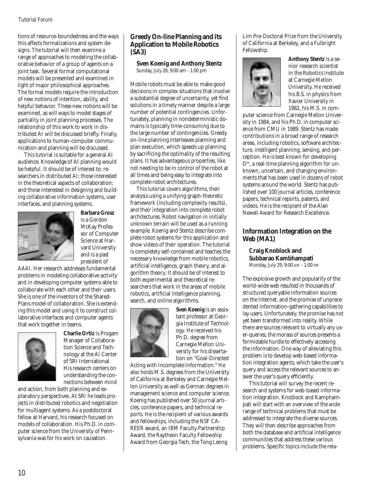tions of resource-boundedness and the ways this affects formalizations and system designs. The tutorial will then examine a range of approaches to modeling the collaborative behavior of a group of agents on a joint task. Several formal computational models will be presented and examined in light of major philosophical approaches. The formal models require the introduction of new notions of intention, ability, and helpful behavior. These new notions will be examined, as will ways to model stages of partiality in joint planning processes. The relationship of this work to work in distributed AI will be discussed briefly. Finally, applications to human-computer communication and planning will be discussed.

This tutorial is suitable for a general AI audience. Knowledge of AI planning would be helpful. It should be of interest to: researchers in distributed AI; those interested in the theoretical aspects of collaboration; and those interested in designing and building collaborative information systems, user interfaces, and planning systems.



**Barbara Grosz** is a Gordon McKay Professor of Computer Science at Harvard University and is a past president of

AAAI. Her research addresses fundamental problems in modeling collaborative activity and in developing computer systems able to collaborate with each other and their users. She is one of the inventors of the Shared-Plans model of collaboration. She is extending this model and using it to construct collaborative interfaces and computer agents that work together in teams.



**Charlie Ortiz** is Progam Manager of Collaboration Science and Technology at the AI Center of SRI International. His research centers on understanding the connections between mind

and action, from both planning and explanatory perspectives. At SRI he leads projects in distributed robotics and negotiation for multiagent systems. As a postdoctoral fellow at Harvard, his research focused on models of collaboration. His Ph.D. in computer science from the University of Pennsylvania was for his work on causation.

#### **Greedy On-line Planning and its Application to Mobile Robotics (SA3)**

**Sven Koenig and Anthony Stentz** Sunday, July 28, 9:00 am - 1:00 pm

Mobile robots must be able to make good decisions in complex situations that involve a substantial degree of uncertainty, yet find solutions in a timely manner despite a large number of potential contingencies. Unfortunately, planning in nondeterministic domains is typically time-consuming due to the large number of contingencies. Greedy on-line planning interleaves planning and plan execution, which speeds up planning by sacrificing the optimality of the resulting plans. It has advantageous properties, like not needing to be in control of the robot at all times and being easy to integrate into complete robot architectures.

This tutorial covers algorithms, their analysis using a unifying graph-theoretic framework (including complexity results), and their integration into complete robot architectures. Robot navigation in initially unknown terrain will be used as a running example. Koenig and Stentz describe complete robot systems for this application and show videos of their operation. The tutorial is completely self-contained and teaches the necessary knowledge from mobile robotics, artificial intelligence, graph theory, and algorithm theory. It should be of interest to both experimental and theoretical researchers that work in the areas of mobile robotics, artificial intelligence planning, search, and online algorithms.



**Sven Koenig** is an assistant professor at Georgia Institute of Technology. He received his Ph.D. degree from Carnegie Mellon University for his dissertation on "Goal-Directed

Acting with Incomplete Information." He also holds M.S. degrees from the University of California at Berkeley and Carnegie Mellon University as well as German degrees in management science and computer science. Koenig has published over 50 journal articles, conference papers, and technical reports. He is the recipient of various awards and fellowships, including the NSF CA-REER award, an IBM Faculty Partnership Award, the Raytheon Faculty Fellowship Award from Georgia Tech, the Tong Leong

Lim Pre-Doctoral Prize from the University of California at Berkeley, and a Fulbright Fellowship.



**Anthony Stentz** is a senior research scientist in the Robotics Institute at Carnegie Mellon University. He received his B.S. in physics from Xavier University in 1982, his M.S. in com-

puter science from Carnegie Mellon University in 1984, and his Ph.D. in computer science from CMU in 1989. Stentz has made contributions in a broad range of research areas, including robotics, software architecture, intelligent planning, sensing, and perception. He is best known for developing D\*, a real-time planning algorithm for unknown, uncertain, and changing environments that has been used in dozens of robot systems around the world. Stentz has published over 100 journal articles, conference papers, technical reports, patents, and videos. He is the recipient of the Alan Newell Award for Research Excellence.

#### **Information Integration on the Web (MA1)**

**Craig Knoblock and Subbarao Kambhampati** Monday, July 29, 9:00 AM - 1:00 PM

The explosive growth and popularity of the world-wide web resulted in thousands of structured queryable information sources on the Internet, and the promise of unprecedented information-gathering capabilities to lay users. Unfortunately, the promise has not yet been transformed into reality. While there are sources relevant to virtually any user-queries, the morass of sources presents a formidable hurdle to effectively accessing the information. One way of alleviating this problem is to develop web-based information integration agents, which take the user's query and access the relevant sources to answer the user's query efficiently.

This tutorial will survey the recent research and systems for web-based information integration. Knoblock and Kamphampati will start with an overview of the wide range of technical problems that must be addressed to integrate the diverse sources. They will then describe approaches from both the database and artificial intelligence communities that address these various problems. Specific topics include the rela-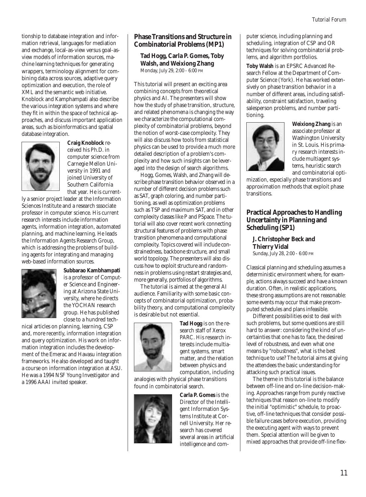tionship to database integration and information retrieval, languages for mediation and exchange, local-as-view versus goal-asview models of information sources, machine learning techniques for generating wrappers, terminology alignment for combining data across sources, adaptive query optimization and execution, the role of XML and the semantic web initiative. Knoblock and Kamphampati also describe the various integration systems and where they fit in within the space of technical approaches, and discuss important application areas, such as bioinformatics and spatial database integration.



**Craig Knoblock** received his Ph.D. in computer science from Carnegie Mellon University in 1991 and joined University of Southern California that year. He is current-

ly a senior project leader at the Information Sciences Institute and a research sssociate professor in computer science. His current research interests include information agents, information integration, automated planning, and machine learning. He leads the Information Agents Research Group, which is addressing the problems of building agents for integrating and managing web-based information sources.



**Subbarao Kambhampati** is a professor of Computer Science and Engineering at Arizona State University, where he directs the YOCHAN research group. He has published close to a hundred tech-

nical articles on planning, learning, CSP and, more recently, information integration and query optimization. His work on information integration includes the development of the Emerac and Havasu integration frameworks. He also developed and taught a course on information integration at ASU. He was a 1994 NSF Young Investigator and a 1996 AAAI invited speaker.

#### **Phase Transitions and Structure in Combinatorial Problems (MP1)**

**Tad Hogg, Carla P. Gomes, Toby Walsh, and Weixiong Zhang** Monday, July 29, 2:00 - 6:00 PM

This tutorial will present an exciting area combining concepts from theoretical physics and AI. The presenters will show how the study of phase transition, structure, and related phenomena is changing the way we characterize the computational complexity of combinatorial problems, beyond the notion of worst-case complexity. They will also discuss how tools from statistical physics can be used to provide a much more detailed description of a problem's complexity and how such insights can be leveraged into the design of search algorithms.

Hogg, Gomes, Walsh, and Zhang will describe phase transition behavior observed in a number of different decision problems such as SAT, graph coloring, and number partitioning, as well as optimization problems such as TSP and maximum SAT, and in other complexity classes like P and PSpace. The tutorial will also cover recent work connecting structural features of problems with phase transition phenomena and computational complexity. Topics covered will include constrainedness, backbone structure, and small world topology. The presenters will also discuss how to exploit structure and randomness in problems using restart strategies and, more generally, portfolios of algorithms.

The tutorial is aimed at the general AI audience. Familiarity with some basic concepts of combinatorial optimization, probability theory, and computational complexity is desirable but not essential.



**Tad Hogg** is on the research staff of Xerox PARC. His research interests include multiagent systems, smart matter, and the relation between physics and computation, including

analogies with physical phase transitions found in combinatorial search.



**Carla P. Gomes** is the Director of the Intelligent Information Systems Institute at Cornell University. Her research has covered several areas in artificial intelligence and computer science, including planning and scheduling, integration of CSP and OR techniques for solving combinatorial problems, and algorithm portfolios.

**Toby Walsh** is an EPSRC Advanced Research Fellow at the Department of Computer Science (York). He has worked extensively on phase transition behavior in a number of different areas, including satisfiability, constraint satisfaction, traveling salesperson problems, and number partitioning.



**Weixiong Zhang** is an associate professor at Washington University in St. Louis. His primary research interests include multiagent systems, heuristic search and combinatorial opti-

mization, especially phase transitions and approximation methods that exploit phase transitions.

#### **Practical Approaches to Handling Uncertainty in Planning and Scheduling (SP1)**

**J. Christopher Beck and Thierry Vidal** Sunday, July 28, 2:00 - 6:00 PM

Classical planning and scheduling assumes a deterministic environment where, for example, actions always succeed and have a known duration. Often, in realistic applications, these strong assumptions are not reasonable: some events may occur that make precomputed schedules and plans infeasible.

Different possibilities exist to deal with such problems, but some questions are still hard to answer: considering the kind of uncertainties that one has to face, the desired level of robustness, and even what one means by "robustness", what is the best technique to use? The tutorial aims at giving the attendees the basic understanding for attacking such practical issues.

The theme in this tutorial is the balance between off-line and on-line decision-making. Approaches range from purely reactive techniques that reason on-line to modify the initial "optimistic" schedule, to proactive, off-line techniques that consider possible failure cases before execution, providing the executing agent with ways to prevent them. Special attention will be given to mixed approaches that provide off-line flex-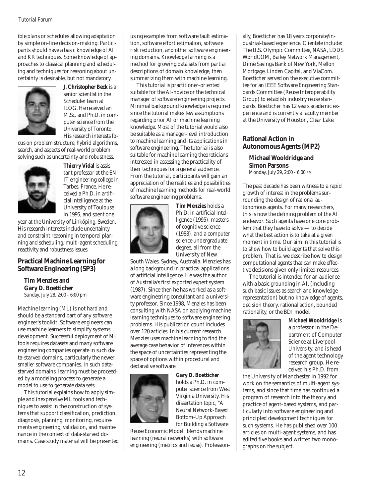ible plans or schedules allowing adaptation by simple on-line decision-making. Participants should have a basic knowledge of AI and KR techniques. Some knowledge of approaches to classical planning and scheduling and techniques for reasoning about uncertainty is desirable, but not mandatory.



**J. Christopher Beck** is a senior scientist in the Scheduler team at ILOG. He received an M.Sc. and Ph.D. in computer science from the University of Toronto. His research interests fo-

cus on problem structure, hybrid algorithms, search, and aspects of real-world problem solving such as uncertainty and robustness.



**Thierry Vidal** is assistant professor at the EN-IT engineering college in Tarbes, France. He received a Ph.D. in artificial intelligence at the University of Toulouse in 1995, and spent one

year at the University of Linköping, Sweden. His research interests include uncertainty and constraint reasoning in temporal planning and scheduling, multi-agent scheduling, reactivity and robustness issues.

#### **Practical Machine Learning for Software Engineering (SP3)**

**Tim Menzies and Gary D. Boetticher** Sunday, July 28, 2:00 - 6:00 pm

Machine learning (ML) is not hard and should be a standard part of any software engineer's toolkit. Software engineers can use machine learners to simplify systems development. Successful deployment of ML tools requires datasets and many software engineering companies operate in such data-starved domains, particularly the newer, smaller software companies. In such datastarved domains, learning must be proceeded by a modeling process to generate a model to use to generate data sets.

This tutorial explains how to apply simple and inexpensive ML tools and techniques to assist in the construction of systems that support classification, prediction, diagnosis, planning, monitoring, requirements engineering, validation, and maintenance in the context of data-starved domains. Case study material will be presented

using examples from software fault estimation, software effort estimation, software risk reduction, and other software engineering domains. Knowledge farming is a method for growing data sets from partial descriptions of domain knowledge, then summarizing them with machine learning.

This tutorial is practitioner-oriented suitable for the AI-novice or the technical manager of software engineering projects. Minimal background knowledge is required since the tutorial makes few assumptions regarding prior AI or machine learning knowledge. Most of the tutorial would also be suitable as a manager-level introduction to machine learning and its applications in software engineering. The tutorial is also suitable for machine learning theoreticians interested in assessing the practicality of their techniques for a general audience. From the tutorial, participants will gain an appreciation of the realities and possibilities of machine learning methods for real-world software engineering problems.



**Tim Menzies** holds a Ph.D. in artificial intelligence (1995), masters of cognitive science (1988), and a computer science undergraduate degree, all from the University of New

South Wales, Sydney, Australia. Menzies has a long background in practical applications of artificial intelligence. He was the author of Australia's first exported expert system (1987). Since then he has worked as a software engineering consultant and a university professor. Since 1998, Menzies has been consulting with NASA on applying machine learning techniques to software engineering problems. His publication count includes over 120 articles. In his current research Menzies uses machine learning to find the average case behavior of inferences within the space of uncertainties representing the space of options within procedural and declarative software.



**Gary D. Boetticher** holds a Ph.D. in computer science from West Virginia University. His dissertation topic, "A Neural Network-Based Bottom-Up Approach for Building a Software

Reuse Economic Model" blends machine learning (neural networks) with software engineering (metrics and reuse). Professionally, Boetticher has 18 years corporate/industrial-based experience. Clientele include: The U.S. Olympic Committee, NASA, LDDS WorldCOM, Bailey Network Management, Dime Savings Bank of New York, Mellon Mortgage, Linden Capital, and ViaCom. Boetticher served on the executive committee for an IEEE Software Engineering Standards Committee (Reuse Interoperability Group) to establish industry reuse standards. Boetticher has 12 years academic experience and is currently a faculty member at the University of Houston, Clear Lake.

#### **Rational Action in Autonomous Agents (MP2)**

#### **Michael Wooldridge and Simon Parsons** Monday, July 29, 2:00 - 6:00 PM

The past decade has been witness to a rapid growth of interest in the problems surrounding the design of rational autonomous agents. For many researchers, this is now the defining problem of the AI endeavor. Such agents have one core problem that they have to solve — to decide what the best action is to take at a given moment in time. Our aim in this tutorial is to show how to build agents that solve this problem. That is, we describe how to design computational agents that can make effective decisions given only limited resources.

The tutorial is intended for an audience with a basic grounding in AI, (including such basic issues as search and knowledge representation) but no knowledge of agents, decision theory, rational action, bounded rationality, or the BDI model.



**Michael Wooldridge** is a professor in the Department of Computer Science at Liverpool University, and is head of the agent technology research group. He received his Ph.D. from

the University of Manchester in 1992 for work on the semantics of multi-agent systems, and since that time has continued a program of research into the theory and practice of agent-based systems, and particularly into software engineering and principled development techniques for such systems. He has published over 100 articles on multi-agent systems, and has edited five books and written two monographs on the subject.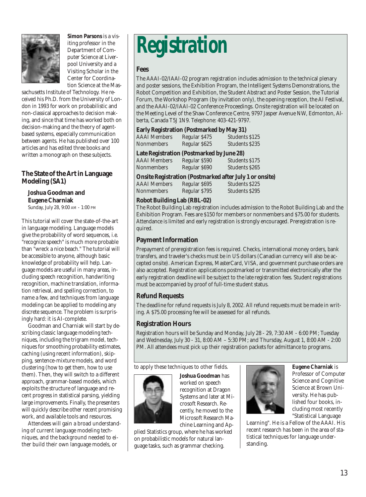

**Simon Parsons** is a visiting professor in the Department of Computer Science at Liverpool University and a Visiting Scholar in the Center for Coordination Science at the Mas-

sachusetts Institute of Technology. He received his Ph.D. from the University of London in 1993 for work on probabilistic and non-classical approaches to decision making, and since that time has worked both on decision-making and the theory of agentbased systems, especially communication between agents. He has published over 100 articles and has edited three books and written a monograph on these subjects.

#### **The State of the Art in Language Modeling (SA1)**

#### **Joshua Goodman and Eugene Charniak**

Sunday, July 28, 9:00 AM - 1:00 PM

This tutorial will cover the state-of-the-art in language modeling. Language models give the probability of word sequences, i.e. "recognize speech" is much more probable than "wreck a nice beach." The tutorial will be accessible to anyone, although basic knowledge of probability will help. Language models are useful in many areas, including speech recognition, handwriting recognition, machine translation, information retrieval, and spelling correction, to name a few, and techniques from language modeling can be applied to modeling any discrete sequence. The problem is surprisingly hard: it is AI-complete.

Goodman and Charniak will start by describing classic language modeling techniques, including the trigram model, techniques for smoothing probability estimates, caching (using recent information), skipping, sentence-mixture models, and word clustering (how to get them, how to use them). Then, they will switch to a different approach, grammar-based models, which exploits the structure of language and recent progress in statistical parsing, yielding large improvements. Finally, the presenters will quickly describe other recent promising work, and available tools and resources.

Attendees will gain a broad understanding of current language modeling techniques, and the background needed to either build their own language models, or

## *Registration*

#### **Fees**

The AAAI-02/IAAI-02 program registration includes admission to the technical plenary and poster sessions, the Exhibition Program, the Intelligent Systems Demonstrations, the Robot Competition and Exhibition, the Student Abstract and Poster Session, the Tutorial Forum, the Workshop Program (by invitation only), the opening reception, the AI Festival, and the AAAI-02/IAAI-02 Conference Proceedings. Onsite registration will be located on the Meeting Level of the Shaw Conference Centre, 9797 Jasper Avenue NW, Edmonton, Alberta, Canada T5J 1N9. Telephone: 403-421-9797.

#### **Early Registration (Postmarked by May 31)**

| <b>AAAI</b> Members                                                                                 | Regular \$475 | Students \$125 |  |  |  |
|-----------------------------------------------------------------------------------------------------|---------------|----------------|--|--|--|
| <b>Nonmembers</b>                                                                                   | Regular \$625 | Students \$235 |  |  |  |
| Late Registration (Postmarked by June 28)<br>Students \$175<br><b>AAAI</b> Members<br>Regular \$590 |               |                |  |  |  |

AAAI Members Regular \$590 Students \$175 Nonmembers Regular \$690 Students \$265

#### **Onsite Registration (Postmarked after July 1 or onsite)**

AAAI Members Regular \$695 Students \$225 Regular \$795 Students \$295

#### **Robot Building Lab (RBL-02)**

The Robot Building Lab registration includes admission to the Robot Building Lab and the Exhibition Program. Fees are \$150 for members or nonmembers and \$75.00 for students. Attendance is limited and early registration is strongly encouraged. Preregistration is required.

#### **Payment Information**

Prepayment of preregistration fees is required. Checks, international money orders, bank transfers, and traveler's checks must be in US dollars (Canadian currency will also be accepted onsite). American Express, MasterCard, VISA, and government purchase orders are also accepted. Registration applications postmarked or transmitted electronically after the early registration deadline will be subject to the late registration fees. Student registrations must be accompanied by proof of full-time student status.

#### **Refund Requests**

The deadline for refund requests is July 8, 2002. All refund requests must be made in writing. A \$75.00 processing fee will be assessed for all refunds.

#### **Registration Hours**

Registration hours will be Sunday and Monday, July 28 - 29, 7:30 AM - 6:00 PM; Tuesday and Wednesday, July 30 - 31, 8:00 AM – 5:30 PM; and Thursday, August 1, 8:00 AM - 2:00 PM. All attendees must pick up their registration packets for admittance to programs.

to apply these techniques to other fields.



**Joshua Goodman** has worked on speech recognition at Dragon Systems and later at Microsoft Research. Recently, he moved to the Microsoft Research Machine Learning and Ap-

plied Statistics group, where he has worked on probabilistic models for natural language tasks, such as grammar checking.



**Eugene Charniak** is Professor of Computer Science and Cognitive Science at Brown University. He has published four books, including most recently "Statistical Language

Learning". He is a Fellow of the AAAI. His recent research has been in the area of statistical techniques for language understanding.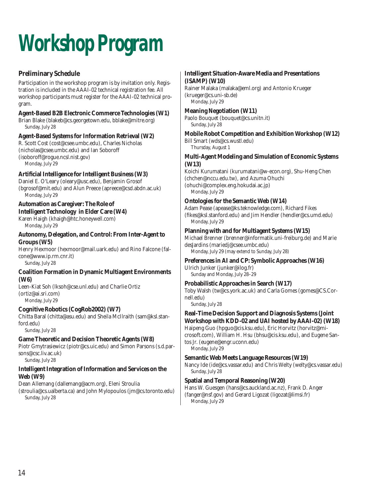# *Workshop Program*

#### **Preliminary Schedule**

Participation in the workshop program is by invitation only. Registration is included in the AAAI-02 technical registration fee. All workshop participants must register for the AAAI-02 technical program.

#### **Agent-Based B2B Electronic Commerce Technologies (W1)**

Brian Blake (blakeb@cs.georgetown.edu, bblake@mitre.org) Sunday, July 28

#### **Agent-Based Systems for Information Retrieval (W2)**

R. Scott Cost (cost@csee.umbc.edu), Charles Nicholas (nicholas@csee.umbc.edu) and Ian Soboroff (isoboroff@rogue.ncsl.nist.gov) Monday, July 29

#### **Artificial Intelligence for Intelligent Business (W3)**

Daniel E. O'Leary (oleary@usc.edu), Benjamin Grosof (bgrosof@mit.edu) and Alun Preece (apreece@csd.abdn.ac.uk) Monday, July 29

### **Automation as Caregiver: The Role of**

#### **Intelligent Technology in Elder Care (W4)**

Karen Haigh (khaigh@htc.honeywell.com) Monday, July 29

#### **Autonomy, Delegation, and Control: From Inter-Agent to Groups (W5)**

Henry Hexmoor (hexmoor@mail.uark.edu) and Rino Falcone (falcone@www.ip.rm.cnr.it) Sunday, July 28

#### **Coalition Formation in Dynamic Multiagent Environments (W6)**

Leen-Kiat Soh (lksoh@cse.unl.edu) and Charlie Ortiz (ortiz@ai.sri.com) Monday, July 29

#### **Cognitive Robotics (CogRob2002) (W7)**

Chitta Baral (chitta@asu.edu) and Sheila McIlraith (sam@ksl.stanford.edu)

Sunday, July 28

#### **Game Theoretic and Decision Theoretic Agents (W8)**

Piotr Gmytrasiewicz (piotr@cs.uic.edu) and Simon Parsons (s.d.parsons@csc.liv.ac.uk)

Sunday, July 28

#### **Intelligent Integration of Information and Services on the Web (W9)**

Dean Allemang (dallemang@acm.org), Eleni Stroulia

(stroulia@cs.ualberta.ca) and John Mylopoulos (jm@cs.toronto.edu) Sunday, July 28

### **Intelligent Situation-Aware Media and Presentations**

**(ISAMP) (W10)**

Rainer Malaka (malaka@eml.org) and Antonio Krueger (krueger@cs.uni-sb.de) Monday, July 29

#### **Meaning Negotiation (W11)**

Paolo Bouquet (bouquet@cs.unitn.it) Sunday, July 28

#### **Mobile Robot Competition and Exhibition Workshop (W12)**

Bill Smart (wds@cs.wustl.edu) Thursday, August 1

#### **Multi-Agent Modeling and Simulation of Economic Systems (W13)**

Koichi Kurumatani (kurumatani@w-econ.org), Shu-Heng Chen (chchen@nccu.edu.tw), and Azuma Ohuchi (ohuchi@complex.eng.hokudai.ac.jp) Monday, July 29

#### **Ontologies for the Semantic Web (W14)**

Adam Pease (apease@ks.teknowledge.com), Richard Fikes (fikes@ksl.stanford.edu) and Jim Hendler (hendler@cs.umd.edu) Monday, July 29

#### **Planning with and for Multiagent Systems (W15)**

Michael Brenner (brenner@informatik.uni-freiburg.de) and Marie desJardins (mariedj@csee.umbc.edu) Monday, July 29 (may extend to Sunday, July 28)

#### **Preferences in AI and CP: Symbolic Approaches (W16)**

Ulrich Junker (junker@ilog.fr) Sunday and Monday, July 28–29

#### **Probabilistic Approaches in Search (W17)**

Toby Walsh (tw@cs.york.ac.uk) and Carla Gomes (gomes@CS.Cornell.edu)

Sunday, July 28

#### **Real-Time Decision Support and Diagnosis Systems (Joint Workshop with KDD-02 and UAI hosted by AAAI-02) (W18)**

Haipeng Guo (hpguo@cis.ksu.edu), Eric Horvitz (horvitz@microsoft.com), William H. Hsu (bhsu@cis.ksu.edu), and Eugene Santos Jr. (eugene@engr.uconn.edu) Monday, July 29

#### **Semantic Web Meets Language Resources (W19)**

Nancy Ide (ide@cs.vassar.edu) and Chris Welty (welty@cs.vassar.edu) Sunday, July 28

#### **Spatial and Temporal Reasoning (W20)**

Hans W. Guesgen (hans@cs.auckland.ac.nz), Frank D. Anger (fanger@nsf.gov) and Gerard Ligozat (ligozat@limsi.fr) Monday, July 29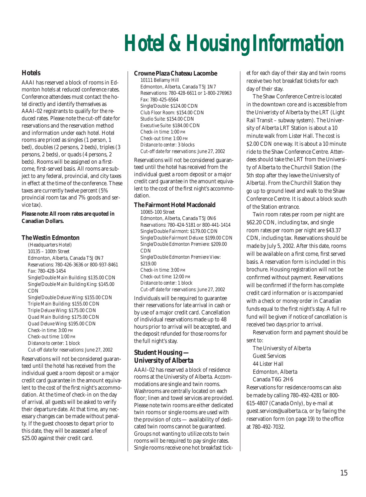# *Hotel & Housing Information*

#### **Hotels**

AAAI has reserved a block of rooms in Edmonton hotels at reduced conference rates. Conference attendees must contact the hotel directly and identify themselves as AAAI-02 registrants to qualify for the reduced rates. Please note the cut-off date for reservations and the reservation method and information under each hotel. Hotel rooms are priced as singles (1 person, 1 bed), doubles (2 persons, 2 beds), triples (3 persons, 2 beds), or quads (4 persons, 2 beds). Rooms will be assigned on a firstcome, first-served basis. All rooms are subject to any federal, provincial, and city taxes in effect at the time of the conference. These taxes are currently twelve percent (5% provincial room tax and 7% goods and service tax).

*Please note:* **All room rates are quoted in Canadian Dollars.**

#### **The Westin Edmonton**

(Headquarters Hotel) 10135 – 100th Street Edmonton, Alberta, Canada T5J 0N7 *Reservations:* 780-426-3636 or 800-937-8461 *Fax:* 780-428-1454 *Single/Double Main Building:* \$135.00 CDN *Single/Double Main Building King:* \$145.00 CDN *Single/Double Deluxe Wing:* \$155.00 CDN *Triple Main Building:* \$155.00 CDN *Triple Deluxe Wing:* \$175.00 CDN *Quad Main Building:* \$175.00 CDN *Quad Deluxe Wing:* \$195.00 CDN *Check-in time:* 3:00 PM *Check-out time:* 1:00 PM *Distance to center:* 1 block *Cut-off date for reservations:* June 27, 2002

Reservations will not be considered guaranteed until the hotel has received from the individual guest a room deposit or a major credit card guarantee in the amount equivalent to the cost of the first night's accommodation. At the time of check-in on the day of arrival, all guests will be asked to verify their departure date. At that time, any necessary changes can be made without penalty. If the guest chooses to depart prior to this date, they will be assessed a fee of \$25.00 against their credit card.

#### **Crowne Plaza Chateau Lacombe**

10111 Bellamy Hill Edmonton, Alberta, Canada T5J 1N7 Reservations: 780-428-6611 or 1-800-276963 *Fax:* 780-425-6564 *Single/Double:* \$124.00 CDN *Club Floor Room:* \$154.00 CDN *Studio Suite:* \$154.00 CDN *Executive Suite:* \$184.00 CDN *Check-in time:* 1:00 PM *Check-out time:* 1:00 PM *Distance to center:* 3 blocks *Cut-off date for reservations:* June 27, 2002

Reservations will not be considered guaranteed until the hotel has received from the individual guest a room deposit or a major credit card guarantee in the amount equivalent to the cost of the first night's accommodation.

#### **The Fairmont Hotel Macdonald**

10065-100 Street Edmonton, Alberta, Canada T5J 0N6 *Reservations:* 780-424-5181 or 800-441-1414 *Single/Double Fairmont:* \$179.00 CDN *Single/Double Fairmont Deluxe:* \$199.00 CDN *Single/Double Edmonton Premiere:* \$209.00 CDN *Single/Double Edmonton Premiere View:* \$219.00 *Check-in time:* 3:00 PM *Check-out time:* 12:00 PM *Distance to center:* 1 block *Cut-off date for reservations:* June 27, 2002

Individuals will be required to guarantee their reservations for late arrival in cash or by use of a major credit card. Cancellation of individual reservations made up to 48 hours prior to arrival will be accepted, and the deposit refunded for those rooms for the full night's stay.

#### **Student Housing — University of Alberta**

AAAI-02 has reserved a block of residence rooms at the University of Alberta. Accommodations are single and twin rooms. Washrooms are centrally located on each floor; linen and towel services are provided. Please note twin rooms are either dedicated twin rooms or single rooms are used with the provision of cots — availability of dedicated twin rooms cannot be guaranteed. Groups not wanting to utilize cots to twin rooms will be required to pay single rates. Single rooms receive one hot breakfast ticket for each day of their stay and twin rooms receive two hot breakfast tickets for each day of their stay.

The Shaw Conference Centre is located in the downtown core and is accessible from the Univeristy of Alberta by the LRT (Light Rail Transit – subway system). The University of Alberta LRT Station is about a 10 minute walk from Lister Hall. The cost is \$2.00 CDN one way. It is about a 10 minute ride to the Shaw Conference Centre. Attendees should take the LRT from the University of Alberta to the Churchill Station (the 5th stop after they leave the University of Alberta). From the Churchill Station they go up to ground level and walk to the Shaw Conference Centre. It is about a block south of the Station entrance.

Twin room rates per room per night are \$62.20 CDN, including tax, and single room rates per room per night are \$43.37 CDN, including tax. Reservations should be made by July 5, 2002. After this date, rooms will be available on a first come, first served basis. A reservation form is included in this brochure. Housing registration will not be confirmed without payment. Reservations will be confirmed if the form has complete credit card information or is accompanied with a check or money order in Canadian funds equal to the first night's stay. A full refund will be given if notice of cancellation is received two days prior to arrival.

Reservation form and payment should be sent to:

The University of Alberta Guest Services 44 Lister Hall Edmonton, Alberta Canada T6G 2H6

Reservations for residence rooms can also be made by calling 780-492-4281 or 800- 615-4807 (Canada Only), by e-mail at guest.services@ualberta.ca, or by faxing the reservation form (on page 19) to the office at 780-492-7032.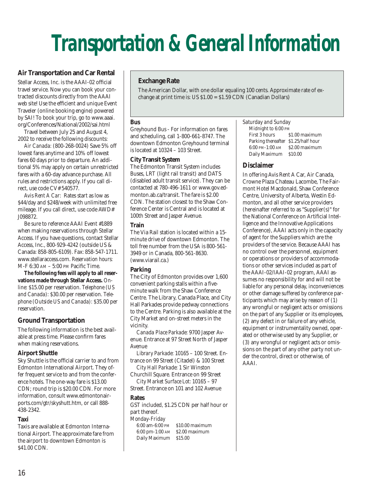## *Transportation & General Information*

#### **Air Transportation and Car Rental**

Stellar Access, Inc. is the AAAI-02 official travel service. Now you can book your contracted discounts directly from the AAAI web site! Use the efficient and unique Event Traveler (online booking engine) powered by SAI! To book your trip, go to www.aaai. org/Conferences/National/2002/sai.html

Travel between July 25 and August 4, 2002 to receive the following discounts:

*Air Canada:* (800-268-0024) Save 5% off lowest fares anytime and 10% off lowest fares 60 days prior to departure. An additional 5% may apply on certain unrestricted fares with a 60-day advance purchase. All rules and restrictions apply. If you call direct, use code CV# 540577.

*Avis Rent A Car:* Rates start as low as \$44/day and \$248/week with unlimited free mileage. If you call direct, use code AWD# J098872.

Be sure to reference AAAI Event #1889 when making reservations through Stellar Access. If you have questions, contact Stellar Access, Inc., 800-929-4242 (outside US & Canada: 858-805-6109). Fax: 858-547-1711. www.stellaraccess.com. *Reservation hours:* M-F 6:30 AM – 5:00 PM Pacific Time.

**The following fees will apply to all reservations made through Stellar Access.** *Online:* \$15.00 per reservation. *Telephone (US and Canada):* \$30.00 per reservation. *Telephone (Outside US and Canada):* \$35.00 per reservation.

#### **Ground Transportation**

The following information is the best available at press time. Please confirm fares when making reservations.

#### **Airport Shuttle**

Sky Shuttle is the official carrier to and from Edmonton International Airport. They offer frequent service to and from the conference hotels. The one-way fare is \$13.00 CDN; round trip is \$20.00 CDN. For more information, consult www.edmontonairports.com/gtr/skyshutt.htm, or call 888- 438-2342.

#### **Taxi**

Taxis are available at Edmonton International Airport. The approximate fare from the airport to downtown Edmonton is \$41.00 CDN.

#### **Exchange Rate**

The American Dollar, with one dollar equaling 100 cents. Approximate rate of exchange at print time is: US \$1.00 = \$1.59 CDN (Canadian Dollars)

#### **Bus**

Greyhound Bus - For information on fares and scheduling, call 1-800-661-8747. The downtown Edmonton Greyhound terminal is located at 10324 – 103 Street.

#### **City Transit System**

The Edmonton Transit System includes Buses, LRT (light rail transit) and DATS (disabled adult transit service). They can be contacted at 780-496-1611 or www.gov.edmonton.ab.ca/transit. The fare is \$2.00 CDN. The station closest to the Shaw Conference Center is Central and is located at 100th Street and Jasper Avenue.

#### **Train**

The Via Rail station is located within a 15 minute drive of downtown Edmonton. The toll free number from the USA is 800-561- 3949 or in Canada, 800-561-8630. (www.viarail.ca.)

#### **Parking**

The City of Edmonton provides over 1,600 convenient parking stalls within a fiveminute walk from the Shaw Conference Centre. The Library, Canada Place, and City Hall Parkades provide pedway connections to the Centre. Parking is also available at the City Market and on-street meters in the vicinity.

*Canada Place Parkade:* 9700 Jasper Avenue. Entrance at 97 Street North of Jasper Avenue

*Library Parkade:* 10165 – 100 Street. Entrance on 99 Street (Citadel) & 100 Street

*City Hall Parkade:* 1 Sir Winston Churchill Square. Entrance on 99 Street *City Market Surface Lot:* 10165 – 97

Street. Entrance on 101 and 102 Avenue

#### **Rates**

GST included, \$1.25 CDN per half hour or part thereof.

*Monday-Friday*

6:00 am-6:00 PM \$10.00 maximum 6:00 pm-1:00 AM \$2.00 maximum Daily Maximum \$15.00

#### *Saturday and Sunday*

Midnight to 6:00 PM<br>First 3 hours S \$1.00 maximum Parking thereafter \$1.25/half hour 6:00 PM-1:00 AM \$2.00 maximum Daily Maximum \$10.00

#### **Disclaimer**

In offering Avis Rent A Car, Air Canada, Crowne Plaza Chateau Lacombe, The Fairmont Hotel Macdonald, Shaw Conference Centre, University of Alberta, Westin Edmonton, and all other service providers (hereinafter referred to as "Supplier(s)" for the National Conference on Artificial Intelligence and the Innovative Applications Conference), AAAI acts only in the capacity of agent for the Suppliers which are the providers of the service. Because AAAI has no control over the personnel, equipment or operations or providers of accommodations or other services included as part of the AAAI-02/IAAI-02 program, AAAI assumes no responsibility for and will not be liable for any personal delay, inconveniences or other damage suffered by conference participants which may arise by reason of (1) any wrongful or negligent acts or omissions on the part of any Supplier or its employees, (2) any defect in or failure of any vehicle, equipment or instrumentality owned, operated or otherwise used by any Supplier, or (3) any wrongful or negligent acts or omissions on the part of any other party not under the control, direct or otherwise, of AAAI.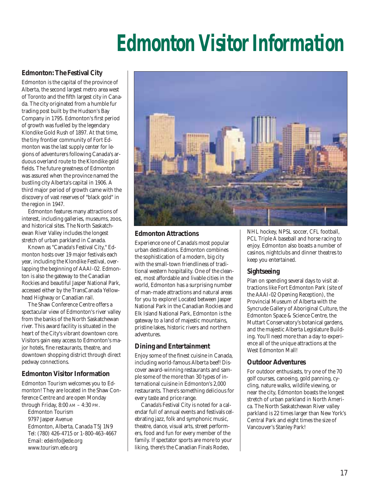## *Edmonton Visitor Information*

#### **Edmonton: The Festival City**

Edmonton is the capital of the province of Alberta, the second largest metro area west of Toronto and the fifth largest city in Canada. The city originated from a humble fur trading post built by the Hudson's Bay Company in 1795. Edmonton's first period of growth was fuelled by the legendary Klondike Gold Rush of 1897. At that time, the tiny frontier community of Fort Edmonton was the last supply center for legions of adventurers following Canada's arduous overland route to the Klondike gold fields. The future greatness of Edmonton was assured when the province named the bustling city Alberta's capital in 1906. A third major period of growth came with the discovery of vast reserves of "black gold" in the region in 1947.

Edmonton features many attractions of interest, including galleries, museums, zoos, and historical sites. The North Saskatchewan River Valley includes the longest stretch of urban parkland in Canada.

Known as "Canada's Festival City," Edmonton hosts over 19 major festivals each year, including the Klondike Festival, overlapping the beginning of AAAI-02. Edmonton is also the gateway to the Canadian Rockies and beautiful Jasper National Park, accessed either by the TransCanada Yellowhead Highway or Canadian rail.

The Shaw Conference Centre offers a spectacular view of Edmonton's river valley from the banks of the North Saskatchewan river. This award facility is situated in the heart of the City's vibrant downtown core. Visitors gain easy access to Edmonton's major hotels, fine restaurants, theatre, and downtown shopping district through direct pedway connections.

#### **Edmonton Visitor Information**

Edmonton Tourism welcomes you to Edmonton! They are located in the Shaw Conference Centre and are open Monday through Friday, 8:00 AM – 4:30 PM.

Edmonton Tourism 9797 Jasper Avenue Edmonton, Alberta, Canada T5J 1N9 Tel: (780) 426-4715 or 1-800-463-4667 Email: edeinfo@ede.org www.tourism.ede.org



#### **Edmonton Attractions**

Experience one of Canada's most popular urban destinations. Edmonton combines the sophistication of a modern, big city with the small-town friendliness of traditional western hospitality. One of the cleanest, most affordable and livable cities in the world, Edmonton has a surprising number of man-made attractions and natural areas for you to explore! Located between Jasper National Park in the Canadian Rockies and Elk Island National Park, Edmonton is the gateway to a land of majestic mountains, pristine lakes, historic rivers and northern adventures.

#### **Dining and Entertainment**

Enjoy some of the finest cuisine in Canada, including world-famous Alberta beef! Discover award-winning restaurants and sample some of the more than 30 types of international cuisine in Edmonton's 2,000 restaurants. There's something delicious for every taste and price range.

Canada's Festival City is noted for a calendar full of annual events and festivals celebrating jazz, folk and symphonic music, theatre, dance, visual arts, street performers, food and fun for every member of the family. If spectator sports are more to your liking, there's the Canadian Finals Rodeo,

NHL hockey, NPSL soccer, CFL football, PCL Triple A baseball and horse racing to enjoy. Edmonton also boasts a number of casinos, nightclubs and dinner theatres to keep you entertained.

#### **Sightseeing**

Plan on spending several days to visit attractions like Fort Edmonton Park (site of the AAAI-02 Opening Reception), the Provincial Museum of Alberta with the Syncrude Gallery of Aboriginal Culture, the Edmonton Space & Science Centre, the Muttart Conservatory's botanical gardens, and the majestic Alberta Legislature Building. You'll need more than a day to experience all of the unique attractions at the West Edmonton Mall!

#### **Outdoor Adventures**

For outdoor enthusiasts, try one of the 70 golf courses, canoeing, gold panning, cycling, nature walks, wildlife viewing, or near the city, Edmonton boasts the longest stretch of urban parkland in North America. The North Saskatchewan River valley parkland is 22 times larger than New York's Central Park and eight times the size of Vancouver's Stanley Park!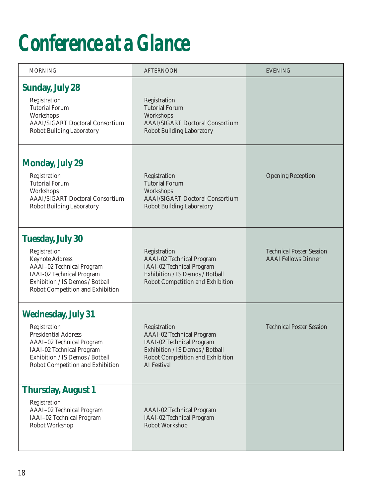## *Conference at a Glance*

| <b>MORNING</b>                                                                                                                                                                                            | <b>AFTERNOON</b>                                                                                                                                                    | <b>EVENING</b>                                                |
|-----------------------------------------------------------------------------------------------------------------------------------------------------------------------------------------------------------|---------------------------------------------------------------------------------------------------------------------------------------------------------------------|---------------------------------------------------------------|
| <b>Sunday, July 28</b><br>Registration<br><b>Tutorial Forum</b><br>Workshops<br><b>AAAI/SIGART Doctoral Consortium</b><br><b>Robot Building Laboratory</b>                                                | Registration<br><b>Tutorial Forum</b><br>Workshops<br><b>AAAI/SIGART Doctoral Consortium</b><br><b>Robot Building Laboratory</b>                                    |                                                               |
| <b>Monday, July 29</b><br>Registration<br><b>Tutorial Forum</b><br>Workshops<br><b>AAAI/SIGART Doctoral Consortium</b><br>Robot Building Laboratory                                                       | Registration<br><b>Tutorial Forum</b><br>Workshops<br><b>AAAI/SIGART Doctoral Consortium</b><br><b>Robot Building Laboratory</b>                                    | <b>Opening Reception</b>                                      |
| <b>Tuesday, July 30</b><br>Registration<br><b>Keynote Address</b><br>AAAI-02 Technical Program<br>IAAI-02 Technical Program<br>Exhibition / IS Demos / Botball<br>Robot Competition and Exhibition        | Registration<br><b>AAAI-02 Technical Program</b><br>IAAI-02 Technical Program<br>Exhibition / IS Demos / Botball<br>Robot Competition and Exhibition                | <b>Technical Poster Session</b><br><b>AAAI</b> Fellows Dinner |
| <b>Wednesday, July 31</b><br>Registration<br><b>Presidential Address</b><br>AAAI-02 Technical Program<br>IAAI-02 Technical Program<br>Exhibition / IS Demos / Botball<br>Robot Competition and Exhibition | Registration<br><b>AAAI-02 Technical Program</b><br>IAAI-02 Technical Program<br>Exhibition / IS Demos / Botball<br>Robot Competition and Exhibition<br>AI Festival | <b>Technical Poster Session</b>                               |
| <b>Thursday, August 1</b><br>Registration<br>AAAI-02 Technical Program<br>IAAI-02 Technical Program<br>Robot Workshop                                                                                     | <b>AAAI-02 Technical Program</b><br>IAAI-02 Technical Program<br><b>Robot Workshop</b>                                                                              |                                                               |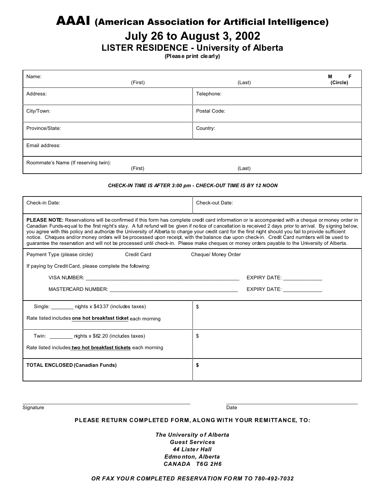### AAAI (American Association for Artificial Intelligence)

### **July 26 to August 3, 2002**

### **LISTER RESIDENCE - University of Alberta**

**(Please print clearly)**

| Name:<br>(First)                                                                                                                                                                                                                                                                                                                                                                                                                                                                                                                                                                                                                                                                                                                                                                 | (Last)                                                                                                                                                                                                                         | M<br>F<br>(Circle) |  |
|----------------------------------------------------------------------------------------------------------------------------------------------------------------------------------------------------------------------------------------------------------------------------------------------------------------------------------------------------------------------------------------------------------------------------------------------------------------------------------------------------------------------------------------------------------------------------------------------------------------------------------------------------------------------------------------------------------------------------------------------------------------------------------|--------------------------------------------------------------------------------------------------------------------------------------------------------------------------------------------------------------------------------|--------------------|--|
| Address:                                                                                                                                                                                                                                                                                                                                                                                                                                                                                                                                                                                                                                                                                                                                                                         | Telephone:                                                                                                                                                                                                                     |                    |  |
| City/Town:                                                                                                                                                                                                                                                                                                                                                                                                                                                                                                                                                                                                                                                                                                                                                                       | Postal Code:                                                                                                                                                                                                                   |                    |  |
| Province/State:                                                                                                                                                                                                                                                                                                                                                                                                                                                                                                                                                                                                                                                                                                                                                                  | Country:                                                                                                                                                                                                                       |                    |  |
| Email address:                                                                                                                                                                                                                                                                                                                                                                                                                                                                                                                                                                                                                                                                                                                                                                   |                                                                                                                                                                                                                                |                    |  |
| Roommate's Name (If reserving twin):<br>(First)                                                                                                                                                                                                                                                                                                                                                                                                                                                                                                                                                                                                                                                                                                                                  | (Last)                                                                                                                                                                                                                         |                    |  |
| CHECK-IN TIME IS AFTER 3:00 pm - CHECK-OUT TIME IS BY 12 NOON                                                                                                                                                                                                                                                                                                                                                                                                                                                                                                                                                                                                                                                                                                                    |                                                                                                                                                                                                                                |                    |  |
| Check-in Date:                                                                                                                                                                                                                                                                                                                                                                                                                                                                                                                                                                                                                                                                                                                                                                   | Check-out Date:                                                                                                                                                                                                                |                    |  |
| <b>PLEASE NOTE:</b> Reservations will be confirmed if this form has complete credit card information or is accompanied with a cheque or money order in<br>Canadian Funds-equal to the first night's stay. A full refund will be given if notice of cancellation is received 2 days prior to arrival. By signing below,<br>you agree with this policy and authorize the University of Alberta to charge your credit card for the first night should you fail to provide sufficient<br>notice. Cheques and/ormoney orders will be processed upon receipt, with the balance due upon check-in. Credit Card numbers will be used to<br>guarantee the reservation and will not be processed until check-in. Please make cheques or money orders payable to the University of Alberta. |                                                                                                                                                                                                                                |                    |  |
| Payment Type (please circle):<br><b>Credit Card</b>                                                                                                                                                                                                                                                                                                                                                                                                                                                                                                                                                                                                                                                                                                                              | Cheque/ Money Order                                                                                                                                                                                                            |                    |  |
| If paying by Credit Card, please complete the following:                                                                                                                                                                                                                                                                                                                                                                                                                                                                                                                                                                                                                                                                                                                         |                                                                                                                                                                                                                                |                    |  |
| VISA NUMBER: WAS ARRESTED FOR A STRUCK OF THE STRUCK OF THE STRUCK OF THE STRUCK OF THE STRUCK OF THE STRUCK O                                                                                                                                                                                                                                                                                                                                                                                                                                                                                                                                                                                                                                                                   |                                                                                                                                                                                                                                |                    |  |
| MASTERCARD NUMBER: WAS ARRESTED FOR A 2000 FOR A 2000 FOR A 2000 FOR A 2000 FOR A 2000 FOR A 2000 FOR A 2000 FOR A 2000 FOR A 2000 FOR A 2000 FOR A 2000 FOR A 2000 FOR A 2000 FOR A 2000 FOR A 2000 FOR A 2000 FOR A 2000 FOR                                                                                                                                                                                                                                                                                                                                                                                                                                                                                                                                                   | EXPIRY DATE: New York Party Street Party of the Street Party of the Street Party of the Street Party of the Street Party of the Street Party of the Street Party of the Street Party of the Street Party of the Street Party o |                    |  |
| Single: ________ nights x \$43.37 (includes taxes)                                                                                                                                                                                                                                                                                                                                                                                                                                                                                                                                                                                                                                                                                                                               | \$                                                                                                                                                                                                                             |                    |  |
| Rate listed includes one hot breakfast ticket each morning                                                                                                                                                                                                                                                                                                                                                                                                                                                                                                                                                                                                                                                                                                                       |                                                                                                                                                                                                                                |                    |  |
| Twin: nights x \$62.20 (includes taxes)                                                                                                                                                                                                                                                                                                                                                                                                                                                                                                                                                                                                                                                                                                                                          | \$                                                                                                                                                                                                                             |                    |  |
| Rate listed includes two hot breakfast tickets each morning                                                                                                                                                                                                                                                                                                                                                                                                                                                                                                                                                                                                                                                                                                                      |                                                                                                                                                                                                                                |                    |  |
| <b>TOTAL ENCLOSED (Canadian Funds)</b>                                                                                                                                                                                                                                                                                                                                                                                                                                                                                                                                                                                                                                                                                                                                           | \$                                                                                                                                                                                                                             |                    |  |

Signature Date Date of the Date of the Date of the Date of the Date of the Date of the Date of the Date of the

#### **PLEASE RETURN COMPLETED FORM, ALONG WITH YOUR REMITTANCE, TO:**

 $\frac{1}{2}$  , and the state of the state of the state of the state of the state of the state of the state of the state of the state of the state of the state of the state of the state of the state of the state of the state

*The University o f Alberta Guest Services 44 Liste r Hall Edmo nton, Alberta CANADA T6G 2H6*

#### *OR FAX YOU R COMPLETED RESERVATION FO RM TO 780-492-7032*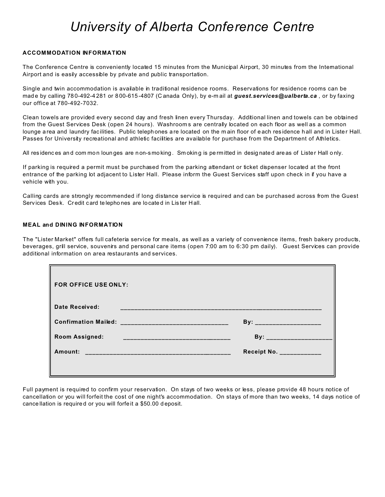## *University of Alberta Conference Centre*

#### **ACCOMMODATION INFORMATION**

The Conference Centre is conveniently located 15 minutes from the Municipal Airport, 30 minutes from the International Airport and is easily accessible by private and public transportation.

Single and twin accommodation is available in traditional residence rooms. Reservations for residence rooms can be made by calling 780-492-4281 or 800-615-4807 (Canada Only), by e-mail at *guest.services@ualberta.ca*, or by faxing our office at 780-492-7032.

Clean towels are provided every second day and fresh linen every Thursday. Additional linen and towels can be obtained from the Guest Services Desk (open 24 hours). Washroom s are centrally located on each floor as well as a common lounge area and laundry facilities. Public telephones are located on the main floor of each residence hall and in Lister Hall. Passes for University recreational and athletic facilities are available for purchase from the Department of Athletics.

All residences and com mon loun ges are non-smo king. Sm oking is permitted in designated are as of Lister Hall only.

If parking is required a permit must be purchased from the parking attendant or ticket dispenser located at the front entrance of the parking lot adjacent to Lister Hall. Please inform the Guest Services staff upon check in if you have a vehicle with you.

Calling cards are strongly recommended if long distance service is required and can be purchased across from the Guest Services Desk. Credit card te lephones are located in Lister Hall.

#### **MEAL and DINING INFORMATION**

The "Lister Market" offers full cafeteria service for meals, as well as a variety of convenience items, fresh bakery products, beverages, grill service, souvenirs and personal care items (open 7:00 am to 6:30 pm daily). Guest Services can provide additional information on area restaurants and services.

| <b>FOR OFFICE USE ONLY:</b>                            |                           |
|--------------------------------------------------------|---------------------------|
| Date Received:                                         |                           |
|                                                        | By: ____________________  |
| <b>Room Assigned:</b><br>_____________________________ | By: _____________________ |
| Amount:                                                | Receipt No. ____________  |
|                                                        |                           |

Full payment is required to confirm your reservation. On stays of two weeks or less, please provide 48 hours notice of cancellation or you will forfeit the cost of one night's accommodation. On stays of more than two weeks, 14 days notice of cance llation is require d or you will forfe it a \$50.00 d eposit.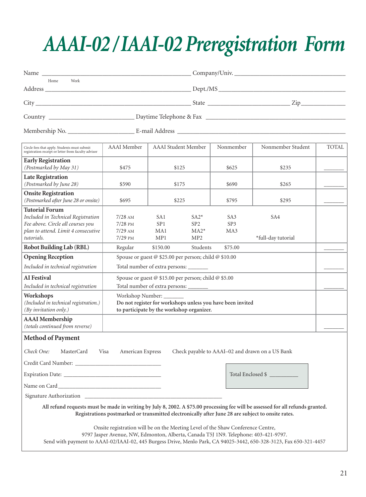## *AAAI-02 / IAAI-02 Preregistration Form*

| Name                                                                                                                                                                                                                                                                                         | Company/Univ.                                                                                                               |                            |                                            |                               |                           |       |
|----------------------------------------------------------------------------------------------------------------------------------------------------------------------------------------------------------------------------------------------------------------------------------------------|-----------------------------------------------------------------------------------------------------------------------------|----------------------------|--------------------------------------------|-------------------------------|---------------------------|-------|
| Work<br>Home                                                                                                                                                                                                                                                                                 |                                                                                                                             |                            |                                            |                               |                           |       |
|                                                                                                                                                                                                                                                                                              |                                                                                                                             |                            |                                            |                               |                           |       |
|                                                                                                                                                                                                                                                                                              |                                                                                                                             |                            |                                            |                               |                           |       |
|                                                                                                                                                                                                                                                                                              |                                                                                                                             |                            |                                            |                               |                           |       |
| Circle fees that apply. Students must submit<br>registration receipt or letter from faculty advisor                                                                                                                                                                                          | <b>AAAI</b> Member                                                                                                          | <b>AAAI</b> Student Member |                                            | Nonmember                     | Nonmember Student         | TOTAL |
| <b>Early Registration</b>                                                                                                                                                                                                                                                                    |                                                                                                                             |                            |                                            |                               |                           |       |
| (Postmarked by May 31)<br><b>Late Registration</b>                                                                                                                                                                                                                                           | \$475                                                                                                                       |                            | \$125                                      | \$625                         | \$235                     |       |
| (Postmarked by June 28)                                                                                                                                                                                                                                                                      | \$590                                                                                                                       | \$175                      |                                            | \$690                         | \$265                     |       |
| <b>Onsite Registration</b><br>(Postmarked after June 28 or onsite)                                                                                                                                                                                                                           | \$695                                                                                                                       | \$225                      |                                            | \$795                         | \$295                     |       |
| <b>Tutorial Forum</b><br>Included in Technical Registration<br>Fee above. Circle all courses you<br>plan to attend. Limit 4 consecutive<br>tutorials.                                                                                                                                        | $7/28$ AM<br>$7/28$ PM<br>$7/29$ AM<br>$7/29$ PM                                                                            | SA1<br>SP1<br>MA1<br>MP1   | $SA2*$<br>SP2<br>$MA2*$<br>MP <sub>2</sub> | SA <sub>3</sub><br>SP3<br>MA3 | SA4<br>*full-day tutorial |       |
| Robot Building Lab (RBL)                                                                                                                                                                                                                                                                     | Regular                                                                                                                     | \$150.00                   | Students                                   | \$75.00                       |                           |       |
| <b>Opening Reception</b>                                                                                                                                                                                                                                                                     | Spouse or guest @ \$25.00 per person; child @ \$10.00                                                                       |                            |                                            |                               |                           |       |
| Included in technical registration                                                                                                                                                                                                                                                           | Total number of extra persons: _______                                                                                      |                            |                                            |                               |                           |       |
| <b>AI</b> Festival<br>Included in technical registration                                                                                                                                                                                                                                     | Spouse or guest @ \$15.00 per person; child @ \$5.00<br>Total number of extra persons:                                      |                            |                                            |                               |                           |       |
| Workshops<br>(Included in technical registration.)<br>(By invitation only.)                                                                                                                                                                                                                  | Workshop Number:<br>Do not register for workshops unless you have been invited<br>to participate by the workshop organizer. |                            |                                            |                               |                           |       |
| <b>AAAI</b> Membership<br>(totals continued from reverse)                                                                                                                                                                                                                                    |                                                                                                                             |                            |                                            |                               |                           |       |
| <b>Method of Payment</b>                                                                                                                                                                                                                                                                     |                                                                                                                             |                            |                                            |                               |                           |       |
| Check One: MasterCard Visa American Express Check payable to AAAI-02 and drawn on a US Bank                                                                                                                                                                                                  |                                                                                                                             |                            |                                            |                               |                           |       |
|                                                                                                                                                                                                                                                                                              |                                                                                                                             |                            |                                            |                               |                           |       |
|                                                                                                                                                                                                                                                                                              |                                                                                                                             |                            |                                            |                               | Total Enclosed \$         |       |
|                                                                                                                                                                                                                                                                                              |                                                                                                                             |                            |                                            |                               |                           |       |
| Signature Authorization                                                                                                                                                                                                                                                                      |                                                                                                                             |                            |                                            |                               |                           |       |
| All refund requests must be made in writing by July 8, 2002. A \$75.00 processing fee will be assessed for all refunds granted.<br>Registrations postmarked or transmitted electronically after June 28 are subject to onsite rates.                                                         |                                                                                                                             |                            |                                            |                               |                           |       |
| Onsite registration will be on the Meeting Level of the Shaw Conference Centre,<br>9797 Jasper Avenue, NW, Edmonton, Alberta, Canada T5J 1N9. Telephone: 403-421-9797.<br>Send with payment to AAAI-02/IAAI-02, 445 Burgess Drive, Menlo Park, CA 94025-3442, 650-328-3123, Fax 650-321-4457 |                                                                                                                             |                            |                                            |                               |                           |       |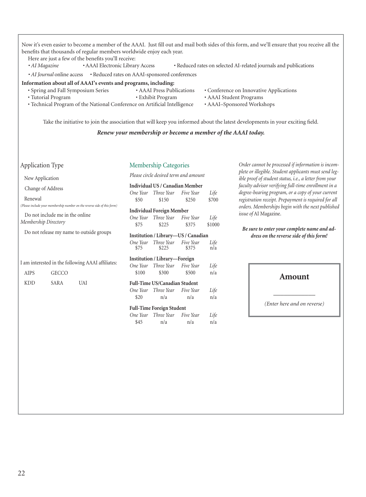| benefits that thousands of regular members worldwide enjoy each year.<br>Here are just a few of the benefits you'll receive:                                                                             |                                                                                                                                            |                                                                                                  | Now it's even easier to become a member of the AAAI. Just fill out and mail both sides of this form, and we'll ensure that you receive all the                                    |  |
|----------------------------------------------------------------------------------------------------------------------------------------------------------------------------------------------------------|--------------------------------------------------------------------------------------------------------------------------------------------|--------------------------------------------------------------------------------------------------|-----------------------------------------------------------------------------------------------------------------------------------------------------------------------------------|--|
| · AI Magazine<br>• AAAI Electronic Library Access                                                                                                                                                        |                                                                                                                                            |                                                                                                  | • Reduced rates on selected AI-related journals and publications                                                                                                                  |  |
| · AI Journal online access                                                                                                                                                                               | • Reduced rates on AAAI-sponsored conferences                                                                                              |                                                                                                  |                                                                                                                                                                                   |  |
| Information about all of AAAI's events and programs, including:<br>· Spring and Fall Symposium Series<br>• Tutorial Program<br>• Technical Program of the National Conference on Artificial Intelligence | • AAAI Press Publications<br>· Exhibit Program                                                                                             | • Conference on Innovative Applications<br>• AAAI Student Programs<br>• AAAI-Sponsored Workshops |                                                                                                                                                                                   |  |
|                                                                                                                                                                                                          | Renew your membership or become a member of the AAAI today.                                                                                |                                                                                                  | Take the initiative to join the association that will keep you informed about the latest developments in your exciting field.                                                     |  |
| Application Type                                                                                                                                                                                         | Membership Categories                                                                                                                      |                                                                                                  | Order cannot be processed if information is incom-                                                                                                                                |  |
| New Application                                                                                                                                                                                          | Please circle desired term and amount                                                                                                      |                                                                                                  | plete or illegible. Student applicants must send leg-<br>ible proof of student status, i.e., a letter from your                                                                   |  |
| Change of Address<br>Renewal                                                                                                                                                                             | Individual US / Canadian Member<br>Three Year<br>One Year<br>Five Year                                                                     | Life<br>\$700                                                                                    | faculty advisor verifying full-time enrollment in a<br>degree-bearing program, or a copy of your current                                                                          |  |
| (Please include your membership number on the reverse side of this form)<br>Do not include me in the online<br>Membership Directory                                                                      | \$50<br>\$150<br>\$250<br><b>Individual Foreign Member</b><br>One Year Three Year<br>Five Year<br>Life<br>\$75<br>\$225<br>\$375<br>\$1000 |                                                                                                  | registration receipt. Prepayment is required for all<br>orders. Memberships begin with the next published<br>issue of AI Magazine.<br>Be sure to enter your complete name and ad- |  |
| Do not release my name to outside groups                                                                                                                                                                 | Institution / Library-US / Canadian<br>One Year<br>Three Year<br>Five Year<br>\$375<br>\$75<br>\$225                                       | Life<br>n/a                                                                                      | dress on the reverse side of this form!                                                                                                                                           |  |
| I am interested in the following AAAI affiliates:<br><b>AIPS</b><br><b>GECCO</b>                                                                                                                         | Institution / Library-Foreign<br>Three Year<br>Five Year<br>One Year<br>\$100<br>\$300<br>\$500                                            | Life<br>n/a                                                                                      | <b>Amount</b>                                                                                                                                                                     |  |
| <b>KDD</b><br><b>SARA</b><br><b>UAI</b>                                                                                                                                                                  | <b>Full-Time US/Canadian Student</b><br>One Year<br>Three Year<br>Five Year<br>\$20<br>n/a<br>n/a                                          | Life<br>n/a                                                                                      |                                                                                                                                                                                   |  |
|                                                                                                                                                                                                          | <b>Full-Time Foreign Student</b><br>Three Year<br>One Year<br>Five Year<br>\$45<br>n/a<br>n/a                                              | Life<br>n/a                                                                                      | (Enter here and on reverse)                                                                                                                                                       |  |
|                                                                                                                                                                                                          |                                                                                                                                            |                                                                                                  |                                                                                                                                                                                   |  |

ľ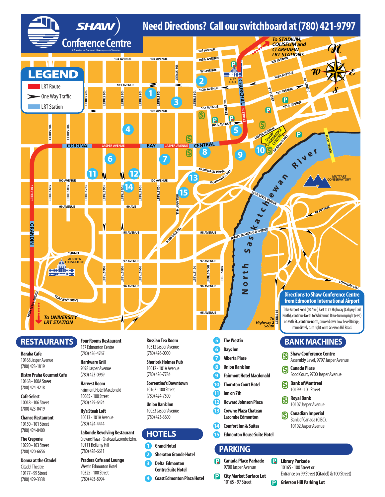

10168 Jasper Avenue (780)423-1819

**Bistro Praha Gourmet Cafe** 10168-100AStreet (780)424-4218

**Cafe Select** 10018-106Street (780)423-0419

**Chance Restaurant** 10150-101Street (780)424-0400

**The Creperie** 10220-103Street (780)420-6656

**Donna atthe Citadel** Citadel Theatre 10177-99Street (780)429-3338

**Hardware Grill** 9698 Jasper Avenue (780)423-0969

**Harvest Room** Fairmont Hotel Macdonald 10065-100Street (780)429-6424

**Hy's Steak Loft** 10013-101AAvenue (780)424-4444

**LaRonde Revolving Restaurant** Crowne Plaza - Chateau Lacombe Edm. 10111 Bellamy Hill (780)428-6611

**Pradera Cafe andLounge** Westin Edmonton Hotel 10325-100Street (780)493-8994

**Sherlock Holmes Pub** 10012-101AAvenue (780)426-7784

**Sorrentino's Downtown** 10162-100Street (780)424-7500

**Union Bank Inn** 10053 Jasper Avenue (780)423-3600

#### **HOTELS**

**3**

- **1 Grand Hotel**
- **2 Sheraton Grande Hotel Delta Edmonton Centre Suite Hotel**
- **4 Coast Edmonton Plaza Hotel**
- 
- **UnionBank Inn 8**
- **Fairmont Hotel Macdonald 9**
- **Thornton Court Hotel 10**
- **Innon7th 11**
- **Howard Johnson Plaza Crowne Plaza Chateau Lacombe Edmonton 12 13**
- **Comfort Inn & Suites 14**
- **Edmonton House Suite Hotel 15**

#### **PARKING**

- **Canada Place Parkade** R 9700 Jasper Avenue
- **City Market Surface Lot** P 10165-97Street
- **R** Library Parkade 10165 - 100 Street or Entrance on 99 Street (Citadel) & 100 Street)
- P **Grierson Hill Parking Lot**

**Canada Place** 

**\$**

**\$**

**\$**

**\$**

Food Court, 9700 Jasper Avenue **Bank ofMontreal** 10199-101Street **RoyalBank** 10107 Jasper Avenue **Canadian Imperial** Bank of Canada (CIBC), 10102 Jasper Avenue